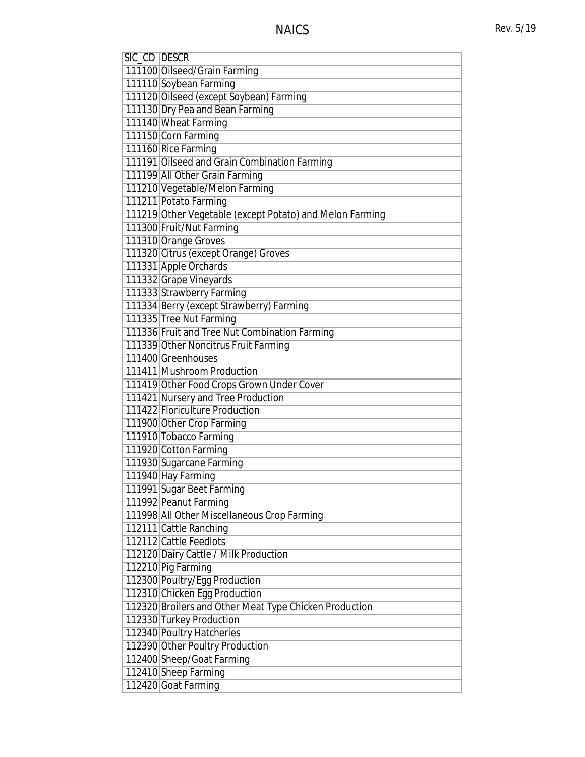| SIC_CD DESCR |                                                          |
|--------------|----------------------------------------------------------|
|              | 111100 Oilseed/Grain Farming                             |
|              | 111110 Soybean Farming                                   |
|              | 111120 Oilseed (except Soybean) Farming                  |
|              | 111130 Dry Pea and Bean Farming                          |
|              | 111140 Wheat Farming                                     |
|              | 111150 Corn Farming                                      |
|              | 111160 Rice Farming                                      |
|              | 111191 Oilseed and Grain Combination Farming             |
|              | 111199 All Other Grain Farming                           |
|              | 111210 Vegetable/Melon Farming                           |
|              | 111211 Potato Farming                                    |
|              | 111219 Other Vegetable (except Potato) and Melon Farming |
|              | 111300 Fruit/Nut Farming                                 |
|              | 111310 Orange Groves                                     |
|              | 111320 Citrus (except Orange) Groves                     |
|              | 111331 Apple Orchards                                    |
|              | 111332 Grape Vineyards                                   |
|              | 111333 Strawberry Farming                                |
|              | 111334 Berry (except Strawberry) Farming                 |
|              | 111335 Tree Nut Farming                                  |
|              | 111336 Fruit and Tree Nut Combination Farming            |
|              | 111339 Other Noncitrus Fruit Farming                     |
|              | 111400 Greenhouses                                       |
|              | 111411 Mushroom Production                               |
|              | 111419 Other Food Crops Grown Under Cover                |
|              | 111421 Nursery and Tree Production                       |
|              | 111422 Floriculture Production                           |
|              | 111900 Other Crop Farming                                |
|              | 111910 Tobacco Farming                                   |
|              | 111920 Cotton Farming                                    |
|              | 111930 Sugarcane Farming                                 |
|              | 111940 Hay Farming                                       |
|              | 111991 Sugar Beet Farming                                |
|              | 111992 Peanut Farming                                    |
|              | 111998 All Other Miscellaneous Crop Farming              |
|              | 112111 Cattle Ranching                                   |
|              | 112112 Cattle Feedlots                                   |
|              | 112120 Dairy Cattle / Milk Production                    |
|              | 112210 Pig Farming                                       |
|              | 112300 Poultry/Egg Production                            |
|              | 112310 Chicken Egg Production                            |
|              | 112320 Broilers and Other Meat Type Chicken Production   |
|              | 112330 Turkey Production                                 |
|              | 112340 Poultry Hatcheries                                |
|              | 112390 Other Poultry Production                          |
|              | 112400 Sheep/Goat Farming                                |
|              | 112410 Sheep Farming                                     |
|              | 112420 Goat Farming                                      |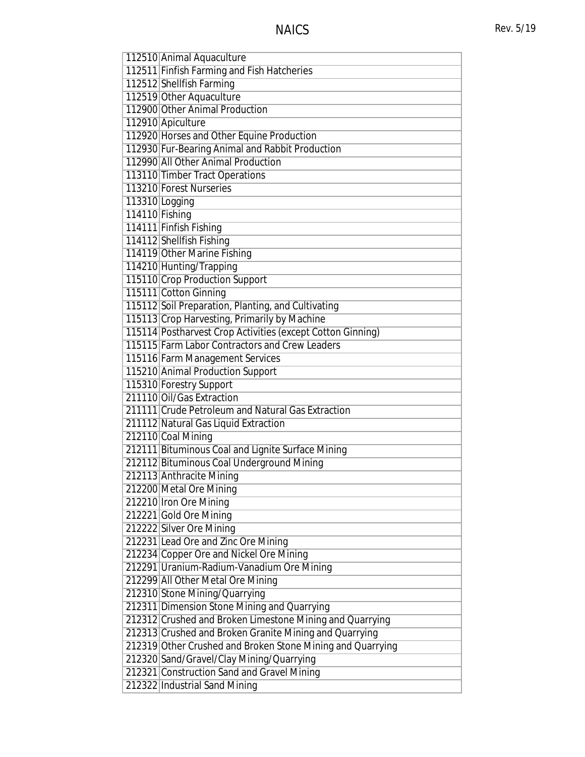| 112510 Animal Aquaculture                                  |
|------------------------------------------------------------|
| 112511 Finfish Farming and Fish Hatcheries                 |
| 112512 Shellfish Farming                                   |
| 112519 Other Aquaculture                                   |
| 112900 Other Animal Production                             |
| 112910 Apiculture                                          |
| 112920 Horses and Other Equine Production                  |
| 112930 Fur-Bearing Animal and Rabbit Production            |
| 112990 All Other Animal Production                         |
| 113110 Timber Tract Operations                             |
| 113210 Forest Nurseries                                    |
| 113310 Logging                                             |
| 114110 Fishing                                             |
| 114111 Finfish Fishing                                     |
| 114112 Shellfish Fishing                                   |
| 114119 Other Marine Fishing                                |
|                                                            |
| 114210 Hunting/Trapping                                    |
| 115110 Crop Production Support                             |
| 115111 Cotton Ginning                                      |
| 115112 Soil Preparation, Planting, and Cultivating         |
| 115113 Crop Harvesting, Primarily by Machine               |
| 115114 Postharvest Crop Activities (except Cotton Ginning) |
| 115115 Farm Labor Contractors and Crew Leaders             |
| 115116 Farm Management Services                            |
| 115210 Animal Production Support                           |
| 115310 Forestry Support                                    |
| 211110 Oil/Gas Extraction                                  |
| 211111 Crude Petroleum and Natural Gas Extraction          |
| 211112 Natural Gas Liquid Extraction                       |
| 212110 Coal Mining                                         |
| 212111 Bituminous Coal and Lignite Surface Mining          |
| 212112 Bituminous Coal Underground Mining                  |
| 212113 Anthracite Mining                                   |
| 212200 Metal Ore Mining                                    |
| 212210 Iron Ore Mining                                     |
| 212221 Gold Ore Mining                                     |
| 212222 Silver Ore Mining                                   |
| 212231 Lead Ore and Zinc Ore Mining                        |
| 212234 Copper Ore and Nickel Ore Mining                    |
| 212291 Uranium-Radium-Vanadium Ore Mining                  |
| 212299 All Other Metal Ore Mining                          |
| 212310 Stone Mining/Quarrying                              |
| 212311 Dimension Stone Mining and Quarrying                |
| 212312 Crushed and Broken Limestone Mining and Quarrying   |
| 212313 Crushed and Broken Granite Mining and Quarrying     |
| 212319 Other Crushed and Broken Stone Mining and Quarrying |
| 212320 Sand/Gravel/Clay Mining/Quarrying                   |
| 212321 Construction Sand and Gravel Mining                 |
| 212322 Industrial Sand Mining                              |
|                                                            |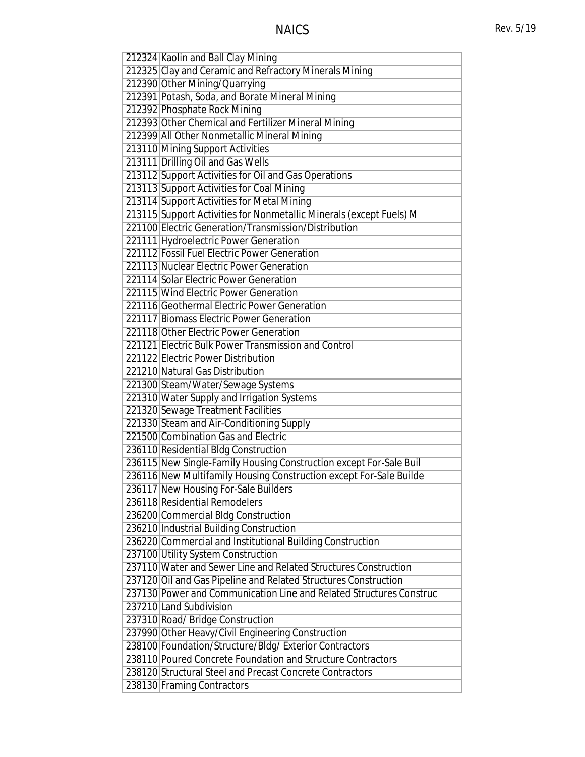| 212324 Kaolin and Ball Clay Mining                                  |
|---------------------------------------------------------------------|
| 212325 Clay and Ceramic and Refractory Minerals Mining              |
| 212390 Other Mining/Quarrying                                       |
| 212391 Potash, Soda, and Borate Mineral Mining                      |
| 212392 Phosphate Rock Mining                                        |
| 212393 Other Chemical and Fertilizer Mineral Mining                 |
| 212399 All Other Nonmetallic Mineral Mining                         |
| 213110 Mining Support Activities                                    |
| 213111 Drilling Oil and Gas Wells                                   |
| 213112 Support Activities for Oil and Gas Operations                |
| 213113 Support Activities for Coal Mining                           |
| 213114 Support Activities for Metal Mining                          |
| 213115 Support Activities for Nonmetallic Minerals (except Fuels) M |
| 221100 Electric Generation/Transmission/Distribution                |
| 221111 Hydroelectric Power Generation                               |
| 221112 Fossil Fuel Electric Power Generation                        |
| 221113 Nuclear Electric Power Generation                            |
| 221114 Solar Electric Power Generation                              |
| 221115 Wind Electric Power Generation                               |
| 221116 Geothermal Electric Power Generation                         |
| 221117 Biomass Electric Power Generation                            |
|                                                                     |
| 221118 Other Electric Power Generation                              |
| 221121 Electric Bulk Power Transmission and Control                 |
| 221122 Electric Power Distribution                                  |
| 221210 Natural Gas Distribution                                     |
| 221300 Steam/Water/Sewage Systems                                   |
| 221310 Water Supply and Irrigation Systems                          |
| 221320 Sewage Treatment Facilities                                  |
| 221330 Steam and Air-Conditioning Supply                            |
| 221500 Combination Gas and Electric                                 |
| 236110 Residential Bldg Construction                                |
| 236115 New Single-Family Housing Construction except For-Sale Buil  |
| 236116 New Multifamily Housing Construction except For-Sale Builde  |
| 236117 New Housing For-Sale Builders                                |
| 236118 Residential Remodelers                                       |
| 236200 Commercial Bldg Construction                                 |
| 236210 Industrial Building Construction                             |
| 236220 Commercial and Institutional Building Construction           |
| 237100 Utility System Construction                                  |
| 237110 Water and Sewer Line and Related Structures Construction     |
| 237120 Oil and Gas Pipeline and Related Structures Construction     |
| 237130 Power and Communication Line and Related Structures Construc |
| 237210 Land Subdivision                                             |
| 237310 Road/ Bridge Construction                                    |
| 237990 Other Heavy/Civil Engineering Construction                   |
| 238100 Foundation/Structure/Bldg/Exterior Contractors               |
| 238110 Poured Concrete Foundation and Structure Contractors         |
| 238120 Structural Steel and Precast Concrete Contractors            |
| 238130 Framing Contractors                                          |
|                                                                     |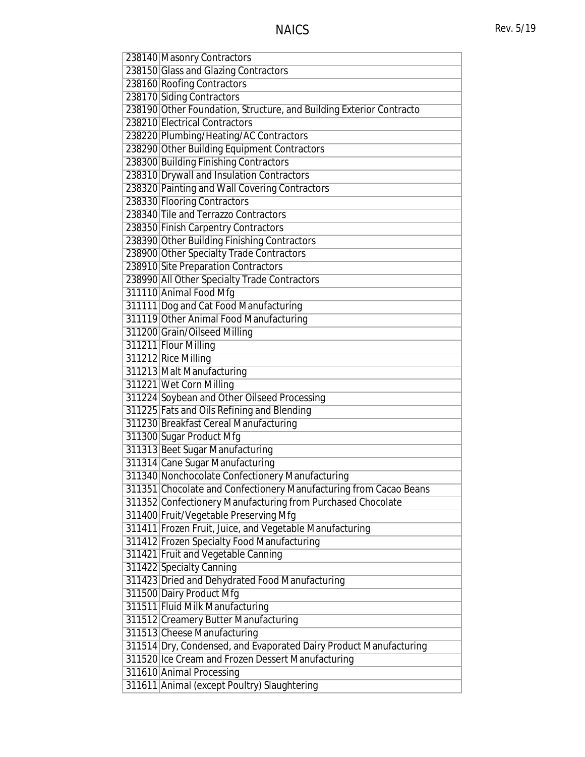| 238140 Masonry Contractors                                          |
|---------------------------------------------------------------------|
| 238150 Glass and Glazing Contractors                                |
| 238160 Roofing Contractors                                          |
| 238170 Siding Contractors                                           |
| 238190 Other Foundation, Structure, and Building Exterior Contracto |
| 238210 Electrical Contractors                                       |
| 238220 Plumbing/Heating/AC Contractors                              |
| 238290 Other Building Equipment Contractors                         |
| 238300 Building Finishing Contractors                               |
| 238310 Drywall and Insulation Contractors                           |
| 238320 Painting and Wall Covering Contractors                       |
| 238330 Flooring Contractors                                         |
| 238340 Tile and Terrazzo Contractors                                |
| 238350 Finish Carpentry Contractors                                 |
| 238390 Other Building Finishing Contractors                         |
| 238900 Other Specialty Trade Contractors                            |
| 238910 Site Preparation Contractors                                 |
| 238990 All Other Specialty Trade Contractors                        |
| 311110 Animal Food Mfg                                              |
| 311111 Dog and Cat Food Manufacturing                               |
| 311119 Other Animal Food Manufacturing                              |
| 311200 Grain/Oilseed Milling                                        |
| 311211 Flour Milling                                                |
| 311212 Rice Milling                                                 |
| 311213 Malt Manufacturing                                           |
| 311221 Wet Corn Milling                                             |
| 311224 Soybean and Other Oilseed Processing                         |
| 311225 Fats and Oils Refining and Blending                          |
| 311230 Breakfast Cereal Manufacturing                               |
| 311300 Sugar Product Mfg                                            |
| 311313 Beet Sugar Manufacturing                                     |
| 311314 Cane Sugar Manufacturing                                     |
| 311340 Nonchocolate Confectionery Manufacturing                     |
| 311351 Chocolate and Confectionery Manufacturing from Cacao Beans   |
| 311352 Confectionery Manufacturing from Purchased Chocolate         |
| 311400 Fruit/Vegetable Preserving Mfg                               |
| 311411 Frozen Fruit, Juice, and Vegetable Manufacturing             |
| 311412 Frozen Specialty Food Manufacturing                          |
| 311421 Fruit and Vegetable Canning                                  |
| 311422 Specialty Canning                                            |
| 311423 Dried and Dehydrated Food Manufacturing                      |
| 311500 Dairy Product Mfg                                            |
| 311511 Fluid Milk Manufacturing                                     |
| 311512 Creamery Butter Manufacturing                                |
| 311513 Cheese Manufacturing                                         |
| 311514 Dry, Condensed, and Evaporated Dairy Product Manufacturing   |
| 311520 Ice Cream and Frozen Dessert Manufacturing                   |
| 311610 Animal Processing                                            |
| 311611 Animal (except Poultry) Slaughtering                         |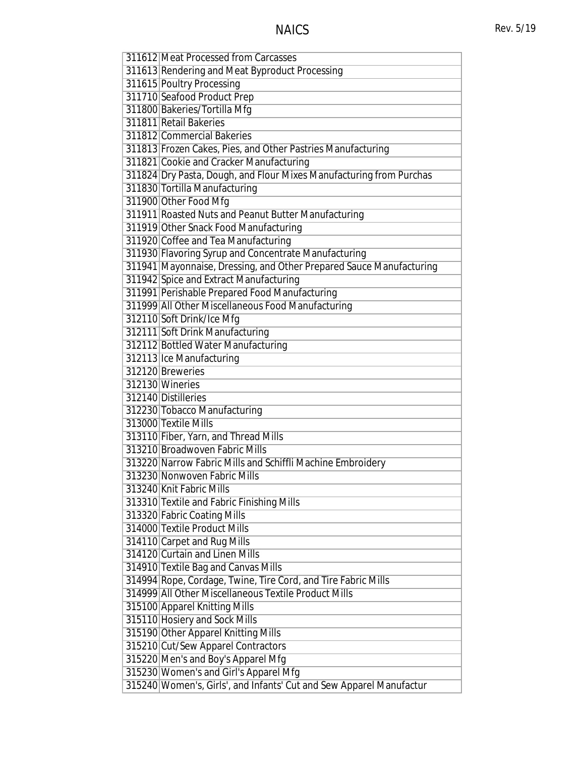| 311612 Meat Processed from Carcasses                                |
|---------------------------------------------------------------------|
|                                                                     |
| 311613 Rendering and Meat Byproduct Processing                      |
| 311615 Poultry Processing                                           |
| 311710 Seafood Product Prep<br>311800 Bakeries/Tortilla Mfg         |
|                                                                     |
| 311811 Retail Bakeries                                              |
| 311812 Commercial Bakeries                                          |
| 311813 Frozen Cakes, Pies, and Other Pastries Manufacturing         |
| 311821 Cookie and Cracker Manufacturing                             |
| 311824 Dry Pasta, Dough, and Flour Mixes Manufacturing from Purchas |
| 311830 Tortilla Manufacturing                                       |
| 311900 Other Food Mfg                                               |
| 311911 Roasted Nuts and Peanut Butter Manufacturing                 |
| 311919 Other Snack Food Manufacturing                               |
| 311920 Coffee and Tea Manufacturing                                 |
| 311930 Flavoring Syrup and Concentrate Manufacturing                |
| 311941 Mayonnaise, Dressing, and Other Prepared Sauce Manufacturing |
| 311942 Spice and Extract Manufacturing                              |
| 311991 Perishable Prepared Food Manufacturing                       |
| 311999 All Other Miscellaneous Food Manufacturing                   |
| 312110 Soft Drink/Ice Mfg                                           |
| 312111 Soft Drink Manufacturing                                     |
| 312112 Bottled Water Manufacturing                                  |
| 312113 Ice Manufacturing                                            |
| 312120 Breweries                                                    |
| 312130 Wineries                                                     |
| 312140 Distilleries                                                 |
| 312230 Tobacco Manufacturing                                        |
| 313000 Textile Mills                                                |
| 313110 Fiber, Yarn, and Thread Mills                                |
| 313210 Broadwoven Fabric Mills                                      |
| 313220 Narrow Fabric Mills and Schiffli Machine Embroidery          |
| 313230 Nonwoven Fabric Mills                                        |
| 313240 Knit Fabric Mills                                            |
| 313310 Textile and Fabric Finishing Mills                           |
| 313320 Fabric Coating Mills                                         |
| 314000 Textile Product Mills                                        |
| 314110 Carpet and Rug Mills                                         |
| 314120 Curtain and Linen Mills                                      |
| 314910 Textile Bag and Canvas Mills                                 |
| 314994 Rope, Cordage, Twine, Tire Cord, and Tire Fabric Mills       |
| 314999 All Other Miscellaneous Textile Product Mills                |
| 315100 Apparel Knitting Mills                                       |
| 315110 Hosiery and Sock Mills                                       |
| 315190 Other Apparel Knitting Mills                                 |
| 315210 Cut/Sew Apparel Contractors                                  |
| 315220 Men's and Boy's Apparel Mfg                                  |
| 315230 Women's and Girl's Apparel Mfg                               |
| 315240 Women's, Girls', and Infants' Cut and Sew Apparel Manufactur |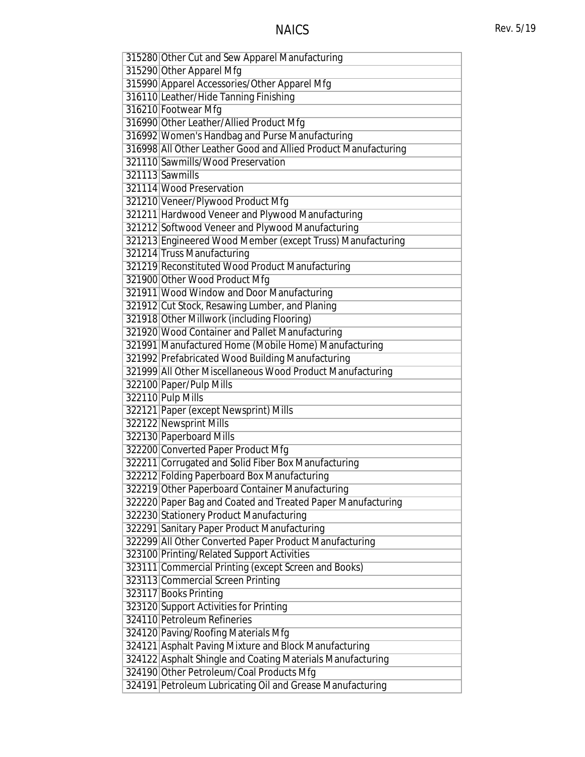| 315280 Other Cut and Sew Apparel Manufacturing                 |
|----------------------------------------------------------------|
| 315290 Other Apparel Mfg                                       |
| 315990 Apparel Accessories/Other Apparel Mfg                   |
| 316110 Leather/Hide Tanning Finishing                          |
| 316210 Footwear Mfg                                            |
| 316990 Other Leather/Allied Product Mfg                        |
| 316992 Women's Handbag and Purse Manufacturing                 |
| 316998 All Other Leather Good and Allied Product Manufacturing |
| 321110 Sawmills/Wood Preservation                              |
| 321113 Sawmills                                                |
| 321114 Wood Preservation                                       |
| 321210 Veneer/Plywood Product Mfg                              |
| 321211 Hardwood Veneer and Plywood Manufacturing               |
| 321212 Softwood Veneer and Plywood Manufacturing               |
| 321213 Engineered Wood Member (except Truss) Manufacturing     |
| 321214 Truss Manufacturing                                     |
| 321219 Reconstituted Wood Product Manufacturing                |
| 321900 Other Wood Product Mfg                                  |
| 321911 Wood Window and Door Manufacturing                      |
| 321912 Cut Stock, Resawing Lumber, and Planing                 |
| 321918 Other Millwork (including Flooring)                     |
| 321920 Wood Container and Pallet Manufacturing                 |
| 321991 Manufactured Home (Mobile Home) Manufacturing           |
| 321992 Prefabricated Wood Building Manufacturing               |
| 321999 All Other Miscellaneous Wood Product Manufacturing      |
| 322100 Paper/Pulp Mills                                        |
| 322110 Pulp Mills                                              |
| 322121 Paper (except Newsprint) Mills                          |
| 322122 Newsprint Mills                                         |
| 322130 Paperboard Mills                                        |
| 322200 Converted Paper Product Mfg                             |
| 322211 Corrugated and Solid Fiber Box Manufacturing            |
| 322212 Folding Paperboard Box Manufacturing                    |
| 322219 Other Paperboard Container Manufacturing                |
| 322220 Paper Bag and Coated and Treated Paper Manufacturing    |
| 322230 Stationery Product Manufacturing                        |
| 322291 Sanitary Paper Product Manufacturing                    |
| 322299 All Other Converted Paper Product Manufacturing         |
| 323100 Printing/Related Support Activities                     |
| 323111 Commercial Printing (except Screen and Books)           |
| 323113 Commercial Screen Printing                              |
| 323117 Books Printing                                          |
| 323120 Support Activities for Printing                         |
| 324110 Petroleum Refineries                                    |
| 324120 Paving/Roofing Materials Mfg                            |
| 324121 Asphalt Paving Mixture and Block Manufacturing          |
| 324122 Asphalt Shingle and Coating Materials Manufacturing     |
| 324190 Other Petroleum/Coal Products Mfg                       |
| 324191 Petroleum Lubricating Oil and Grease Manufacturing      |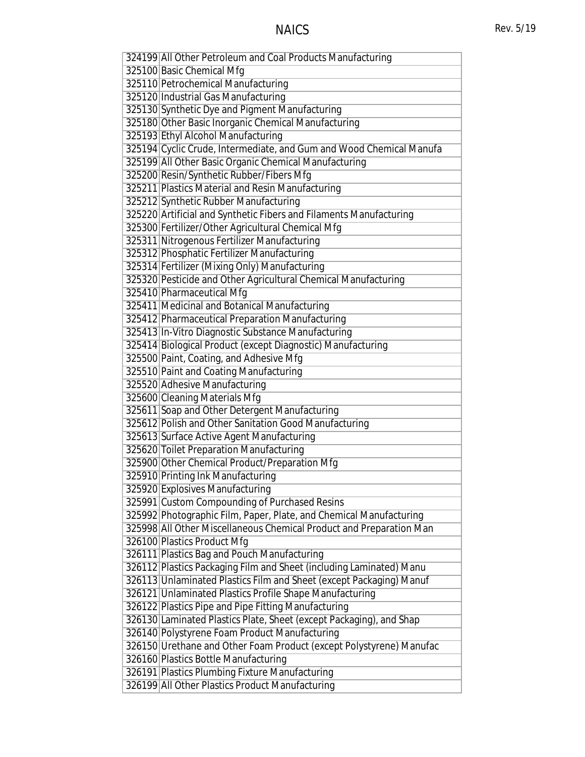| 324199 All Other Petroleum and Coal Products Manufacturing          |
|---------------------------------------------------------------------|
| 325100 Basic Chemical Mfg                                           |
| 325110 Petrochemical Manufacturing                                  |
| 325120 Industrial Gas Manufacturing                                 |
| 325130 Synthetic Dye and Pigment Manufacturing                      |
| 325180 Other Basic Inorganic Chemical Manufacturing                 |
| 325193 Ethyl Alcohol Manufacturing                                  |
| 325194 Cyclic Crude, Intermediate, and Gum and Wood Chemical Manufa |
| 325199 All Other Basic Organic Chemical Manufacturing               |
| 325200 Resin/Synthetic Rubber/Fibers Mfg                            |
| 325211 Plastics Material and Resin Manufacturing                    |
| 325212 Synthetic Rubber Manufacturing                               |
| 325220 Artificial and Synthetic Fibers and Filaments Manufacturing  |
| 325300 Fertilizer/Other Agricultural Chemical Mfg                   |
| 325311 Nitrogenous Fertilizer Manufacturing                         |
| 325312 Phosphatic Fertilizer Manufacturing                          |
| 325314 Fertilizer (Mixing Only) Manufacturing                       |
| 325320 Pesticide and Other Agricultural Chemical Manufacturing      |
| 325410 Pharmaceutical Mfg                                           |
| 325411 Medicinal and Botanical Manufacturing                        |
| 325412 Pharmaceutical Preparation Manufacturing                     |
| 325413 In-Vitro Diagnostic Substance Manufacturing                  |
| 325414 Biological Product (except Diagnostic) Manufacturing         |
| 325500 Paint, Coating, and Adhesive Mfg                             |
| 325510 Paint and Coating Manufacturing                              |
| 325520 Adhesive Manufacturing                                       |
| 325600 Cleaning Materials Mfg                                       |
|                                                                     |
| 325611 Soap and Other Detergent Manufacturing                       |
| 325612 Polish and Other Sanitation Good Manufacturing               |
| 325613 Surface Active Agent Manufacturing                           |
| 325620 Toilet Preparation Manufacturing                             |
| 325900 Other Chemical Product/Preparation Mfg                       |
| 325910 Printing Ink Manufacturing                                   |
| 325920 Explosives Manufacturing                                     |
| 325991 Custom Compounding of Purchased Resins                       |
| 325992 Photographic Film, Paper, Plate, and Chemical Manufacturing  |
| 325998 All Other Miscellaneous Chemical Product and Preparation Man |
| 326100 Plastics Product Mfg                                         |
| 326111 Plastics Bag and Pouch Manufacturing                         |
| 326112 Plastics Packaging Film and Sheet (including Laminated) Manu |
| 326113 Unlaminated Plastics Film and Sheet (except Packaging) Manuf |
| 326121 Unlaminated Plastics Profile Shape Manufacturing             |
| 326122 Plastics Pipe and Pipe Fitting Manufacturing                 |
| 326130 Laminated Plastics Plate, Sheet (except Packaging), and Shap |
| 326140 Polystyrene Foam Product Manufacturing                       |
| 326150 Urethane and Other Foam Product (except Polystyrene) Manufac |
| 326160 Plastics Bottle Manufacturing                                |
| 326191 Plastics Plumbing Fixture Manufacturing                      |
| 326199 All Other Plastics Product Manufacturing                     |
|                                                                     |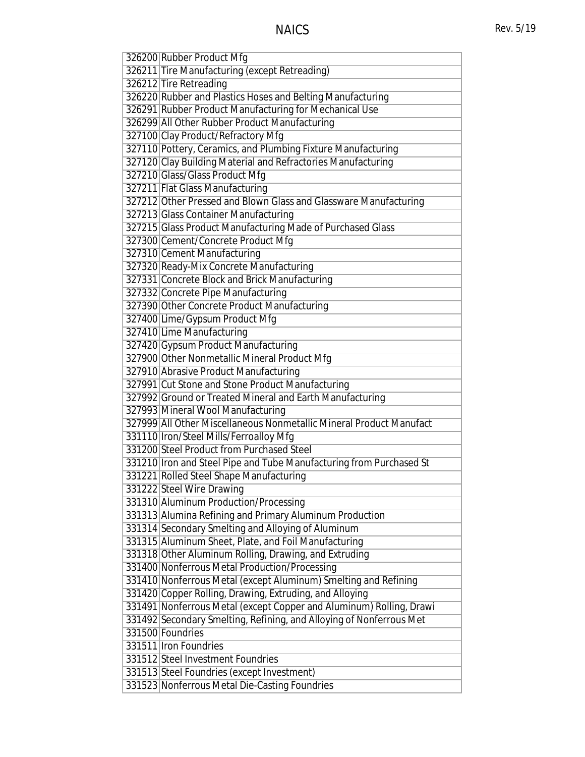| 326200 Rubber Product Mfg                                           |
|---------------------------------------------------------------------|
| 326211 Tire Manufacturing (except Retreading)                       |
| 326212 Tire Retreading                                              |
| 326220 Rubber and Plastics Hoses and Belting Manufacturing          |
| 326291 Rubber Product Manufacturing for Mechanical Use              |
| 326299 All Other Rubber Product Manufacturing                       |
| 327100 Clay Product/Refractory Mfg                                  |
| 327110 Pottery, Ceramics, and Plumbing Fixture Manufacturing        |
| 327120 Clay Building Material and Refractories Manufacturing        |
| 327210 Glass/Glass Product Mfg                                      |
| 327211 Flat Glass Manufacturing                                     |
| 327212 Other Pressed and Blown Glass and Glassware Manufacturing    |
| 327213 Glass Container Manufacturing                                |
| 327215 Glass Product Manufacturing Made of Purchased Glass          |
| 327300 Cement/Concrete Product Mfg                                  |
| 327310 Cement Manufacturing                                         |
| 327320 Ready-Mix Concrete Manufacturing                             |
| 327331 Concrete Block and Brick Manufacturing                       |
| 327332 Concrete Pipe Manufacturing                                  |
| 327390 Other Concrete Product Manufacturing                         |
| 327400 Lime/Gypsum Product Mfg                                      |
| 327410 Lime Manufacturing                                           |
| 327420 Gypsum Product Manufacturing                                 |
| 327900 Other Nonmetallic Mineral Product Mfg                        |
| 327910 Abrasive Product Manufacturing                               |
| 327991 Cut Stone and Stone Product Manufacturing                    |
| 327992 Ground or Treated Mineral and Earth Manufacturing            |
| 327993 Mineral Wool Manufacturing                                   |
| 327999 All Other Miscellaneous Nonmetallic Mineral Product Manufact |
| 331110   Iron/Steel Mills/Ferroalloy Mfg                            |
| 331200 Steel Product from Purchased Steel                           |
| 331210 Iron and Steel Pipe and Tube Manufacturing from Purchased St |
| 331221 Rolled Steel Shape Manufacturing                             |
| 331222 Steel Wire Drawing                                           |
| 331310 Aluminum Production/Processing                               |
| 331313 Alumina Refining and Primary Aluminum Production             |
| 331314 Secondary Smelting and Alloying of Aluminum                  |
| 331315 Aluminum Sheet, Plate, and Foil Manufacturing                |
| 331318 Other Aluminum Rolling, Drawing, and Extruding               |
| 331400 Nonferrous Metal Production/Processing                       |
| 331410 Nonferrous Metal (except Aluminum) Smelting and Refining     |
| 331420 Copper Rolling, Drawing, Extruding, and Alloying             |
| 331491 Nonferrous Metal (except Copper and Aluminum) Rolling, Drawi |
| 331492 Secondary Smelting, Refining, and Alloying of Nonferrous Met |
| 331500 Foundries                                                    |
| 331511 Iron Foundries                                               |
| 331512 Steel Investment Foundries                                   |
| 331513 Steel Foundries (except Investment)                          |
| 331523 Nonferrous Metal Die-Casting Foundries                       |
|                                                                     |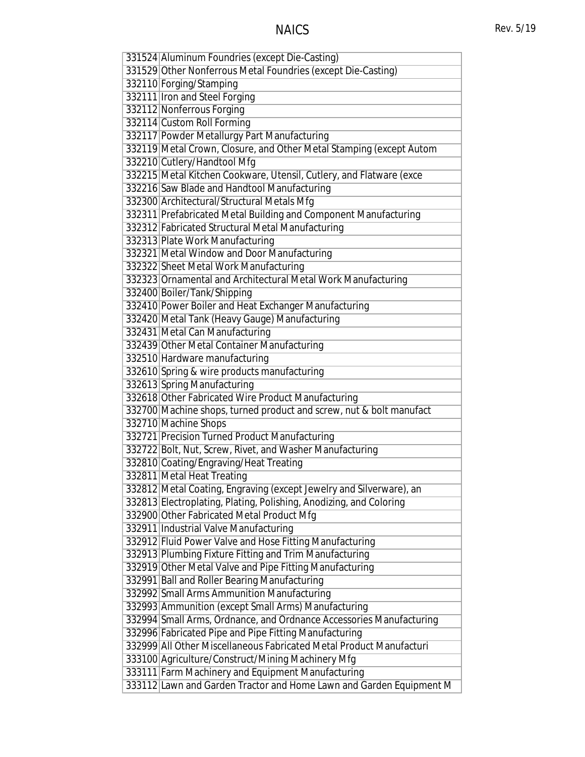| 331524 Aluminum Foundries (except Die-Casting)                      |
|---------------------------------------------------------------------|
| 331529 Other Nonferrous Metal Foundries (except Die-Casting)        |
| 332110 Forging/Stamping                                             |
| 332111 Iron and Steel Forging                                       |
| 332112 Nonferrous Forging                                           |
| 332114 Custom Roll Forming                                          |
| 332117 Powder Metallurgy Part Manufacturing                         |
| 332119 Metal Crown, Closure, and Other Metal Stamping (except Autom |
| 332210 Cutlery/Handtool Mfg                                         |
| 332215 Metal Kitchen Cookware, Utensil, Cutlery, and Flatware (exce |
| 332216 Saw Blade and Handtool Manufacturing                         |
| 332300 Architectural/Structural Metals Mfg                          |
| 332311 Prefabricated Metal Building and Component Manufacturing     |
| 332312 Fabricated Structural Metal Manufacturing                    |
| 332313 Plate Work Manufacturing                                     |
| 332321 Metal Window and Door Manufacturing                          |
| 332322 Sheet Metal Work Manufacturing                               |
| 332323 Ornamental and Architectural Metal Work Manufacturing        |
| 332400 Boiler/Tank/Shipping                                         |
| 332410 Power Boiler and Heat Exchanger Manufacturing                |
| 332420 Metal Tank (Heavy Gauge) Manufacturing                       |
| 332431 Metal Can Manufacturing                                      |
| 332439 Other Metal Container Manufacturing                          |
| 332510 Hardware manufacturing                                       |
| 332610 Spring & wire products manufacturing                         |
| 332613 Spring Manufacturing                                         |
| 332618 Other Fabricated Wire Product Manufacturing                  |
| 332700 Machine shops, turned product and screw, nut & bolt manufact |
| 332710 Machine Shops                                                |
| 332721 Precision Turned Product Manufacturing                       |
| 332722 Bolt, Nut, Screw, Rivet, and Washer Manufacturing            |
| 332810 Coating/Engraving/Heat Treating                              |
| 332811 Metal Heat Treating                                          |
| 332812 Metal Coating, Engraving (except Jewelry and Silverware), an |
| 332813 Electroplating, Plating, Polishing, Anodizing, and Coloring  |
| 332900 Other Fabricated Metal Product Mfg                           |
| 332911 Industrial Valve Manufacturing                               |
| 332912 Fluid Power Valve and Hose Fitting Manufacturing             |
| 332913 Plumbing Fixture Fitting and Trim Manufacturing              |
| 332919 Other Metal Valve and Pipe Fitting Manufacturing             |
| 332991 Ball and Roller Bearing Manufacturing                        |
|                                                                     |
| 332992 Small Arms Ammunition Manufacturing                          |
| 332993 Ammunition (except Small Arms) Manufacturing                 |
| 332994 Small Arms, Ordnance, and Ordnance Accessories Manufacturing |
| 332996 Fabricated Pipe and Pipe Fitting Manufacturing               |
| 332999 All Other Miscellaneous Fabricated Metal Product Manufacturi |
| 333100 Agriculture/Construct/Mining Machinery Mfg                   |
| 333111 Farm Machinery and Equipment Manufacturing                   |
| 333112 Lawn and Garden Tractor and Home Lawn and Garden Equipment M |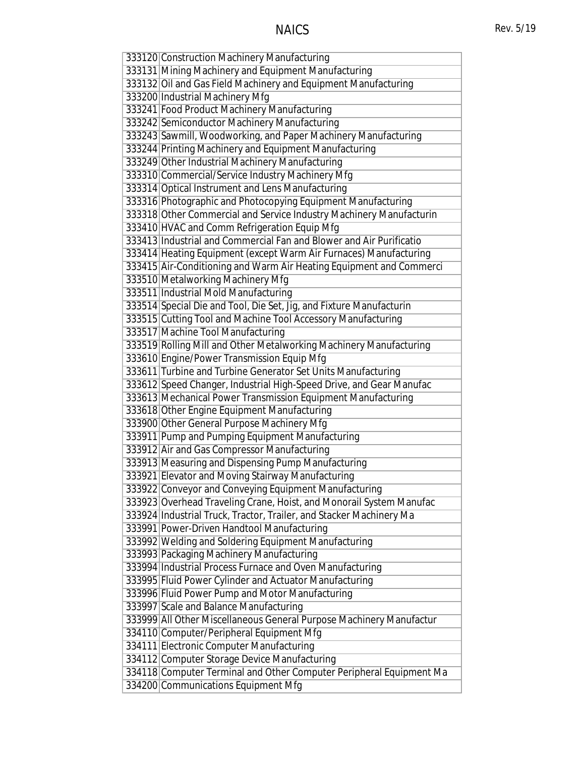| 333120 Construction Machinery Manufacturing                                                                       |
|-------------------------------------------------------------------------------------------------------------------|
| 333131 Mining Machinery and Equipment Manufacturing                                                               |
| 333132 Oil and Gas Field Machinery and Equipment Manufacturing                                                    |
| 333200 Industrial Machinery Mfg                                                                                   |
| 333241 Food Product Machinery Manufacturing                                                                       |
| 333242 Semiconductor Machinery Manufacturing                                                                      |
| 333243 Sawmill, Woodworking, and Paper Machinery Manufacturing                                                    |
| 333244 Printing Machinery and Equipment Manufacturing                                                             |
| 333249 Other Industrial Machinery Manufacturing                                                                   |
| 333310 Commercial/Service Industry Machinery Mfg                                                                  |
| 333314 Optical Instrument and Lens Manufacturing                                                                  |
| 333316 Photographic and Photocopying Equipment Manufacturing                                                      |
| 333318 Other Commercial and Service Industry Machinery Manufacturin                                               |
| 333410 HVAC and Comm Refrigeration Equip Mfg                                                                      |
| 333413 Industrial and Commercial Fan and Blower and Air Purificatio                                               |
| 333414 Heating Equipment (except Warm Air Furnaces) Manufacturing                                                 |
| 333415 Air-Conditioning and Warm Air Heating Equipment and Commerci                                               |
| 333510 Metalworking Machinery Mfg                                                                                 |
| 333511 Industrial Mold Manufacturing                                                                              |
| 333514 Special Die and Tool, Die Set, Jig, and Fixture Manufacturin                                               |
| 333515 Cutting Tool and Machine Tool Accessory Manufacturing                                                      |
| 333517 Machine Tool Manufacturing                                                                                 |
| 333519 Rolling Mill and Other Metalworking Machinery Manufacturing                                                |
| 333610 Engine/Power Transmission Equip Mfg                                                                        |
| 333611 Turbine and Turbine Generator Set Units Manufacturing                                                      |
| 333612 Speed Changer, Industrial High-Speed Drive, and Gear Manufac                                               |
| 333613 Mechanical Power Transmission Equipment Manufacturing                                                      |
| 333618 Other Engine Equipment Manufacturing                                                                       |
| 333900 Other General Purpose Machinery Mfg                                                                        |
| 333911 Pump and Pumping Equipment Manufacturing                                                                   |
| 333912 Air and Gas Compressor Manufacturing                                                                       |
| 333913 Measuring and Dispensing Pump Manufacturing                                                                |
| 333921 Elevator and Moving Stairway Manufacturing                                                                 |
| 333922 Conveyor and Conveying Equipment Manufacturing                                                             |
| 333923 Overhead Traveling Crane, Hoist, and Monorail System Manufac                                               |
| 333924 Industrial Truck, Tractor, Trailer, and Stacker Machinery Ma<br>333991 Power-Driven Handtool Manufacturing |
| 333992 Welding and Soldering Equipment Manufacturing                                                              |
| 333993 Packaging Machinery Manufacturing                                                                          |
| 333994 Industrial Process Furnace and Oven Manufacturing                                                          |
| 333995 Fluid Power Cylinder and Actuator Manufacturing                                                            |
| 333996 Fluid Power Pump and Motor Manufacturing                                                                   |
| 333997 Scale and Balance Manufacturing                                                                            |
| 333999 All Other Miscellaneous General Purpose Machinery Manufactur                                               |
| 334110 Computer/Peripheral Equipment Mfg                                                                          |
| 334111 Electronic Computer Manufacturing                                                                          |
| 334112 Computer Storage Device Manufacturing                                                                      |
| 334118 Computer Terminal and Other Computer Peripheral Equipment Ma                                               |
| 334200 Communications Equipment Mfg                                                                               |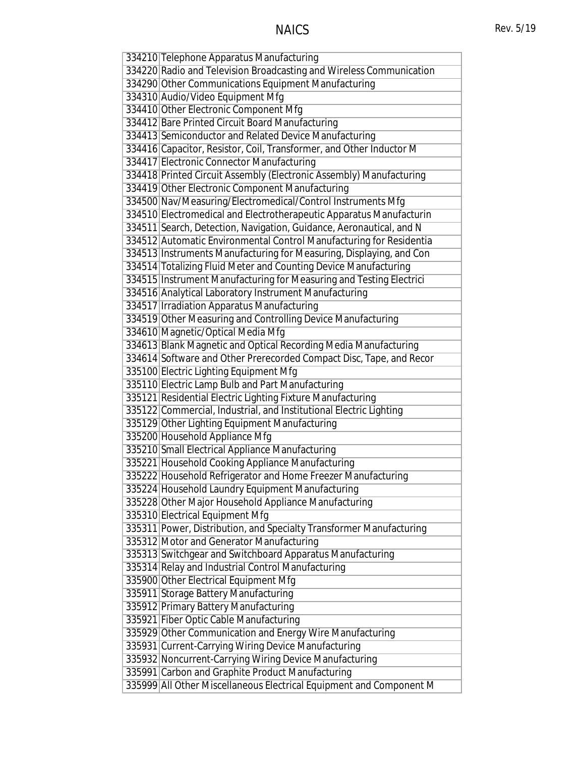| 334210 Telephone Apparatus Manufacturing                            |
|---------------------------------------------------------------------|
| 334220 Radio and Television Broadcasting and Wireless Communication |
| 334290 Other Communications Equipment Manufacturing                 |
| 334310 Audio/Video Equipment Mfg                                    |
| 334410 Other Electronic Component Mfg                               |
| 334412 Bare Printed Circuit Board Manufacturing                     |
| 334413 Semiconductor and Related Device Manufacturing               |
| 334416 Capacitor, Resistor, Coil, Transformer, and Other Inductor M |
| 334417 Electronic Connector Manufacturing                           |
| 334418 Printed Circuit Assembly (Electronic Assembly) Manufacturing |
| 334419 Other Electronic Component Manufacturing                     |
| 334500 Nav/Measuring/Electromedical/Control Instruments Mfg         |
| 334510 Electromedical and Electrotherapeutic Apparatus Manufacturin |
| 334511 Search, Detection, Navigation, Guidance, Aeronautical, and N |
| 334512 Automatic Environmental Control Manufacturing for Residentia |
| 334513 Instruments Manufacturing for Measuring, Displaying, and Con |
| 334514 Totalizing Fluid Meter and Counting Device Manufacturing     |
| 334515 Instrument Manufacturing for Measuring and Testing Electrici |
| 334516 Analytical Laboratory Instrument Manufacturing               |
| 334517 Irradiation Apparatus Manufacturing                          |
| 334519 Other Measuring and Controlling Device Manufacturing         |
| 334610 Magnetic/Optical Media Mfg                                   |
| 334613 Blank Magnetic and Optical Recording Media Manufacturing     |
| 334614 Software and Other Prerecorded Compact Disc, Tape, and Recor |
| 335100 Electric Lighting Equipment Mfg                              |
| 335110 Electric Lamp Bulb and Part Manufacturing                    |
| 335121 Residential Electric Lighting Fixture Manufacturing          |
| 335122 Commercial, Industrial, and Institutional Electric Lighting  |
| 335129 Other Lighting Equipment Manufacturing                       |
| 335200 Household Appliance Mfg                                      |
| 335210 Small Electrical Appliance Manufacturing                     |
| 335221 Household Cooking Appliance Manufacturing                    |
| 335222 Household Refrigerator and Home Freezer Manufacturing        |
| 335224 Household Laundry Equipment Manufacturing                    |
| 335228 Other Major Household Appliance Manufacturing                |
| 335310 Electrical Equipment Mfg                                     |
| 335311 Power, Distribution, and Specialty Transformer Manufacturing |
| 335312 Motor and Generator Manufacturing                            |
| 335313 Switchgear and Switchboard Apparatus Manufacturing           |
| 335314 Relay and Industrial Control Manufacturing                   |
| 335900 Other Electrical Equipment Mfg                               |
| 335911 Storage Battery Manufacturing                                |
| 335912 Primary Battery Manufacturing                                |
| 335921 Fiber Optic Cable Manufacturing                              |
| 335929 Other Communication and Energy Wire Manufacturing            |
| 335931 Current-Carrying Wiring Device Manufacturing                 |
| 335932 Noncurrent-Carrying Wiring Device Manufacturing              |
| 335991 Carbon and Graphite Product Manufacturing                    |
| 335999 All Other Miscellaneous Electrical Equipment and Component M |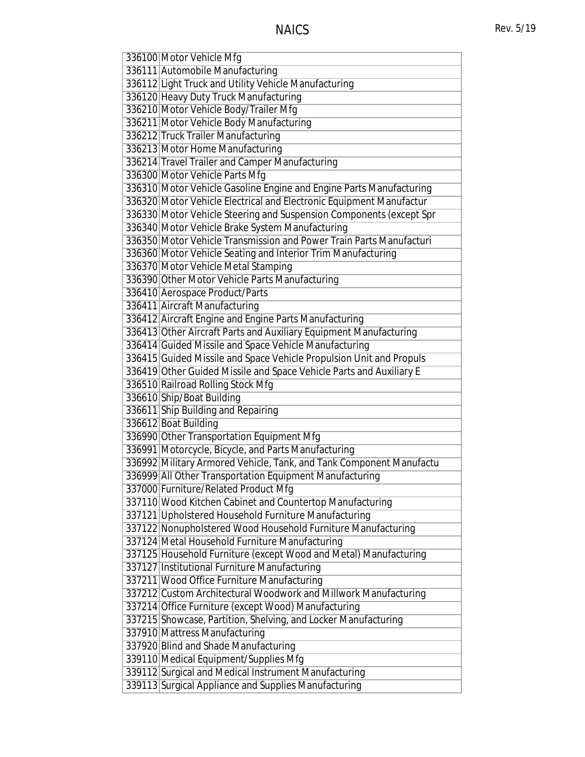| 336100 Motor Vehicle Mfg                                            |
|---------------------------------------------------------------------|
| 336111 Automobile Manufacturing                                     |
| 336112 Light Truck and Utility Vehicle Manufacturing                |
| 336120 Heavy Duty Truck Manufacturing                               |
| 336210 Motor Vehicle Body/Trailer Mfg                               |
| 336211 Motor Vehicle Body Manufacturing                             |
| 336212 Truck Trailer Manufacturing                                  |
| 336213 Motor Home Manufacturing                                     |
| 336214 Travel Trailer and Camper Manufacturing                      |
| 336300 Motor Vehicle Parts Mfg                                      |
| 336310 Motor Vehicle Gasoline Engine and Engine Parts Manufacturing |
| 336320 Motor Vehicle Electrical and Electronic Equipment Manufactur |
| 336330 Motor Vehicle Steering and Suspension Components (except Spr |
| 336340 Motor Vehicle Brake System Manufacturing                     |
| 336350 Motor Vehicle Transmission and Power Train Parts Manufacturi |
| 336360 Motor Vehicle Seating and Interior Trim Manufacturing        |
| 336370 Motor Vehicle Metal Stamping                                 |
| 336390 Other Motor Vehicle Parts Manufacturing                      |
| 336410 Aerospace Product/Parts                                      |
| 336411 Aircraft Manufacturing                                       |
| 336412 Aircraft Engine and Engine Parts Manufacturing               |
| 336413 Other Aircraft Parts and Auxiliary Equipment Manufacturing   |
| 336414 Guided Missile and Space Vehicle Manufacturing               |
| 336415 Guided Missile and Space Vehicle Propulsion Unit and Propuls |
| 336419 Other Guided Missile and Space Vehicle Parts and Auxiliary E |
| 336510 Railroad Rolling Stock Mfg                                   |
| 336610 Ship/Boat Building                                           |
| 336611 Ship Building and Repairing                                  |
| 336612 Boat Building                                                |
| 336990 Other Transportation Equipment Mfg                           |
| 336991 Motorcycle, Bicycle, and Parts Manufacturing                 |
| 336992 Military Armored Vehicle, Tank, and Tank Component Manufactu |
| 336999 All Other Transportation Equipment Manufacturing             |
| 337000 Furniture/Related Product Mfg                                |
| 337110 Wood Kitchen Cabinet and Countertop Manufacturing            |
| 337121 Upholstered Household Furniture Manufacturing                |
| 337122 Nonupholstered Wood Household Furniture Manufacturing        |
| 337124 Metal Household Furniture Manufacturing                      |
| 337125 Household Furniture (except Wood and Metal) Manufacturing    |
| 337127 Institutional Furniture Manufacturing                        |
| 337211 Wood Office Furniture Manufacturing                          |
| 337212 Custom Architectural Woodwork and Millwork Manufacturing     |
| 337214 Office Furniture (except Wood) Manufacturing                 |
| 337215 Showcase, Partition, Shelving, and Locker Manufacturing      |
| 337910 Mattress Manufacturing                                       |
| 337920 Blind and Shade Manufacturing                                |
| 339110 Medical Equipment/Supplies Mfg                               |
| 339112 Surgical and Medical Instrument Manufacturing                |
| 339113 Surgical Appliance and Supplies Manufacturing                |
|                                                                     |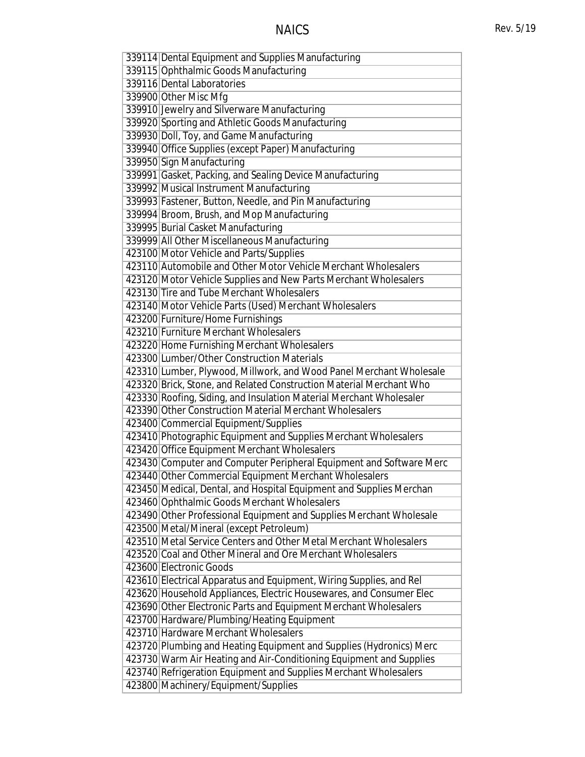| 339114 Dental Equipment and Supplies Manufacturing                  |
|---------------------------------------------------------------------|
| 339115 Ophthalmic Goods Manufacturing                               |
| 339116 Dental Laboratories                                          |
| 339900 Other Misc Mfg                                               |
| 339910 Jewelry and Silverware Manufacturing                         |
| 339920 Sporting and Athletic Goods Manufacturing                    |
| 339930 Doll, Toy, and Game Manufacturing                            |
|                                                                     |
| 339940 Office Supplies (except Paper) Manufacturing                 |
| 339950 Sign Manufacturing                                           |
| 339991 Gasket, Packing, and Sealing Device Manufacturing            |
| 339992 Musical Instrument Manufacturing                             |
| 339993 Fastener, Button, Needle, and Pin Manufacturing              |
| 339994 Broom, Brush, and Mop Manufacturing                          |
| 339995 Burial Casket Manufacturing                                  |
| 339999 All Other Miscellaneous Manufacturing                        |
| 423100 Motor Vehicle and Parts/Supplies                             |
| 423110 Automobile and Other Motor Vehicle Merchant Wholesalers      |
| 423120 Motor Vehicle Supplies and New Parts Merchant Wholesalers    |
| 423130 Tire and Tube Merchant Wholesalers                           |
| 423140 Motor Vehicle Parts (Used) Merchant Wholesalers              |
| 423200 Furniture/Home Furnishings                                   |
| 423210 Furniture Merchant Wholesalers                               |
| 423220 Home Furnishing Merchant Wholesalers                         |
| 423300 Lumber/Other Construction Materials                          |
| 423310 Lumber, Plywood, Millwork, and Wood Panel Merchant Wholesale |
| 423320 Brick, Stone, and Related Construction Material Merchant Who |
| 423330 Roofing, Siding, and Insulation Material Merchant Wholesaler |
| 423390 Other Construction Material Merchant Wholesalers             |
| 423400 Commercial Equipment/Supplies                                |
| 423410 Photographic Equipment and Supplies Merchant Wholesalers     |
| 423420 Office Equipment Merchant Wholesalers                        |
| 423430 Computer and Computer Peripheral Equipment and Software Merc |
| 423440 Other Commercial Equipment Merchant Wholesalers              |
| 423450 Medical, Dental, and Hospital Equipment and Supplies Merchan |
| 423460 Ophthalmic Goods Merchant Wholesalers                        |
|                                                                     |
| 423490 Other Professional Equipment and Supplies Merchant Wholesale |
| 423500 Metal/Mineral (except Petroleum)                             |
| 423510 Metal Service Centers and Other Metal Merchant Wholesalers   |
| 423520 Coal and Other Mineral and Ore Merchant Wholesalers          |
| 423600 Electronic Goods                                             |
| 423610 Electrical Apparatus and Equipment, Wiring Supplies, and Rel |
| 423620 Household Appliances, Electric Housewares, and Consumer Elec |
| 423690 Other Electronic Parts and Equipment Merchant Wholesalers    |
| 423700 Hardware/Plumbing/Heating Equipment                          |
| 423710 Hardware Merchant Wholesalers                                |
| 423720 Plumbing and Heating Equipment and Supplies (Hydronics) Merc |
| 423730 Warm Air Heating and Air-Conditioning Equipment and Supplies |
| 423740 Refrigeration Equipment and Supplies Merchant Wholesalers    |
| 423800 Machinery/Equipment/Supplies                                 |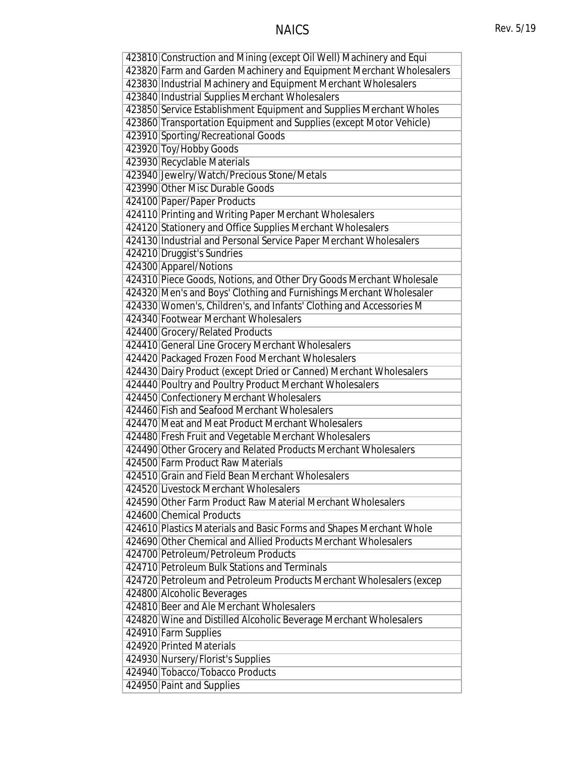# NAICS Rev. 5/19

| 423810 Construction and Mining (except Oil Well) Machinery and Equi |
|---------------------------------------------------------------------|
| 423820 Farm and Garden Machinery and Equipment Merchant Wholesalers |
| 423830 Industrial Machinery and Equipment Merchant Wholesalers      |
| 423840 Industrial Supplies Merchant Wholesalers                     |
| 423850 Service Establishment Equipment and Supplies Merchant Wholes |
| 423860 Transportation Equipment and Supplies (except Motor Vehicle) |
| 423910 Sporting/Recreational Goods                                  |
| 423920 Toy/Hobby Goods                                              |
| 423930 Recyclable Materials                                         |
| 423940 Jewelry/Watch/Precious Stone/Metals                          |
| 423990 Other Misc Durable Goods                                     |
| 424100 Paper/Paper Products                                         |
| 424110 Printing and Writing Paper Merchant Wholesalers              |
| 424120 Stationery and Office Supplies Merchant Wholesalers          |
| 424130 Industrial and Personal Service Paper Merchant Wholesalers   |
| 424210 Druggist's Sundries                                          |
| 424300 Apparel/Notions                                              |
| 424310 Piece Goods, Notions, and Other Dry Goods Merchant Wholesale |
| 424320 Men's and Boys' Clothing and Furnishings Merchant Wholesaler |
| 424330 Women's, Children's, and Infants' Clothing and Accessories M |
| 424340 Footwear Merchant Wholesalers                                |
| 424400 Grocery/Related Products                                     |
| 424410 General Line Grocery Merchant Wholesalers                    |
| 424420 Packaged Frozen Food Merchant Wholesalers                    |
| 424430 Dairy Product (except Dried or Canned) Merchant Wholesalers  |
| 424440 Poultry and Poultry Product Merchant Wholesalers             |
| 424450 Confectionery Merchant Wholesalers                           |
| 424460 Fish and Seafood Merchant Wholesalers                        |
| 424470 Meat and Meat Product Merchant Wholesalers                   |
| 424480 Fresh Fruit and Vegetable Merchant Wholesalers               |
| 424490 Other Grocery and Related Products Merchant Wholesalers      |
| 424500 Farm Product Raw Materials                                   |
| 424510 Grain and Field Bean Merchant Wholesalers                    |
| 424520 Livestock Merchant Wholesalers                               |
| 424590 Other Farm Product Raw Material Merchant Wholesalers         |
| 424600 Chemical Products                                            |
| 424610 Plastics Materials and Basic Forms and Shapes Merchant Whole |
| 424690 Other Chemical and Allied Products Merchant Wholesalers      |
| 424700 Petroleum/Petroleum Products                                 |
| 424710 Petroleum Bulk Stations and Terminals                        |
|                                                                     |
| 424720 Petroleum and Petroleum Products Merchant Wholesalers (excep |
| 424800 Alcoholic Beverages                                          |
| 424810 Beer and Ale Merchant Wholesalers                            |
| 424820 Wine and Distilled Alcoholic Beverage Merchant Wholesalers   |
| 424910 Farm Supplies                                                |
| 424920 Printed Materials                                            |
| 424930 Nursery/Florist's Supplies                                   |
| 424940 Tobacco/Tobacco Products                                     |
| 424950 Paint and Supplies                                           |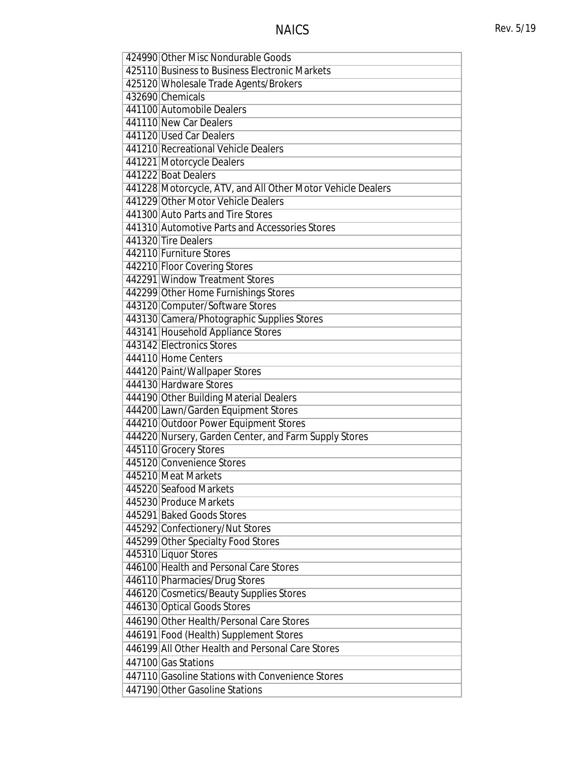| 424990 Other Misc Nondurable Goods                          |
|-------------------------------------------------------------|
| 425110 Business to Business Electronic Markets              |
| 425120 Wholesale Trade Agents/Brokers                       |
| 432690 Chemicals                                            |
| 441100 Automobile Dealers                                   |
| 441110 New Car Dealers                                      |
| 441120 Used Car Dealers                                     |
| 441210 Recreational Vehicle Dealers                         |
| 441221 Motorcycle Dealers                                   |
| 441222 Boat Dealers                                         |
| 441228 Motorcycle, ATV, and All Other Motor Vehicle Dealers |
| 441229 Other Motor Vehicle Dealers                          |
| 441300 Auto Parts and Tire Stores                           |
| 441310 Automotive Parts and Accessories Stores              |
| 441320 Tire Dealers                                         |
| 442110 Furniture Stores                                     |
| 442210 Floor Covering Stores                                |
| 442291 Window Treatment Stores                              |
| 442299 Other Home Furnishings Stores                        |
| 443120 Computer/Software Stores                             |
| 443130 Camera/Photographic Supplies Stores                  |
| 443141 Household Appliance Stores                           |
| 443142 Electronics Stores                                   |
| 444110 Home Centers                                         |
| 444120 Paint/Wallpaper Stores                               |
| 444130 Hardware Stores                                      |
| 444190 Other Building Material Dealers                      |
| 444200 Lawn/Garden Equipment Stores                         |
| 444210 Outdoor Power Equipment Stores                       |
| 444220 Nursery, Garden Center, and Farm Supply Stores       |
| 445110 Grocery Stores                                       |
| 445120 Convenience Stores                                   |
| 445210 Meat Markets                                         |
| 445220 Seafood Markets                                      |
| 445230 Produce Markets                                      |
| 445291 Baked Goods Stores                                   |
| 445292 Confectionery/Nut Stores                             |
| 445299 Other Specialty Food Stores                          |
| 445310 Liquor Stores                                        |
| 446100 Health and Personal Care Stores                      |
| 446110 Pharmacies/Drug Stores                               |
| 446120 Cosmetics/Beauty Supplies Stores                     |
| 446130 Optical Goods Stores                                 |
| 446190 Other Health/Personal Care Stores                    |
| 446191 Food (Health) Supplement Stores                      |
| 446199 All Other Health and Personal Care Stores            |
| 447100 Gas Stations                                         |
| 447110 Gasoline Stations with Convenience Stores            |
| 447190 Other Gasoline Stations                              |
|                                                             |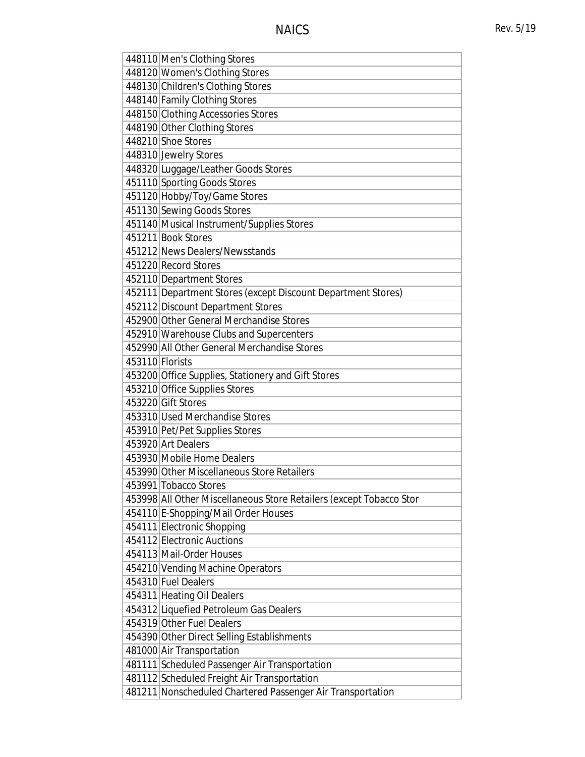| 448110 Men's Clothing Stores                                        |
|---------------------------------------------------------------------|
| 448120 Women's Clothing Stores                                      |
| 448130 Children's Clothing Stores                                   |
| 448140 Family Clothing Stores                                       |
| 448150 Clothing Accessories Stores                                  |
| 448190 Other Clothing Stores                                        |
| 448210 Shoe Stores                                                  |
| 448310 Jewelry Stores                                               |
| 448320 Luggage/Leather Goods Stores                                 |
| 451110 Sporting Goods Stores                                        |
| 451120 Hobby/Toy/Game Stores                                        |
| 451130 Sewing Goods Stores                                          |
| 451140 Musical Instrument/Supplies Stores                           |
| 451211 Book Stores                                                  |
| 451212 News Dealers/Newsstands                                      |
| 451220 Record Stores                                                |
| 452110 Department Stores                                            |
|                                                                     |
| 452111 Department Stores (except Discount Department Stores)        |
| 452112 Discount Department Stores                                   |
| 452900 Other General Merchandise Stores                             |
| 452910 Warehouse Clubs and Supercenters                             |
| 452990 All Other General Merchandise Stores                         |
| 453110 Florists                                                     |
| 453200 Office Supplies, Stationery and Gift Stores                  |
| 453210 Office Supplies Stores                                       |
| 453220 Gift Stores                                                  |
| 453310 Used Merchandise Stores                                      |
| 453910 Pet/Pet Supplies Stores                                      |
| 453920 Art Dealers                                                  |
| 453930 Mobile Home Dealers                                          |
| 453990 Other Miscellaneous Store Retailers                          |
| 453991 Tobacco Stores                                               |
| 453998 All Other Miscellaneous Store Retailers (except Tobacco Stor |
| 454110 E-Shopping/Mail Order Houses                                 |
| 454111 Electronic Shopping                                          |
| 454112 Electronic Auctions                                          |
| 454113 Mail-Order Houses                                            |
| 454210 Vending Machine Operators                                    |
| 454310 Fuel Dealers                                                 |
|                                                                     |
| 454311 Heating Oil Dealers                                          |
| 454312 Liquefied Petroleum Gas Dealers                              |
| 454319 Other Fuel Dealers                                           |
| 454390 Other Direct Selling Establishments                          |
| 481000 Air Transportation                                           |
| 481111 Scheduled Passenger Air Transportation                       |
| 481112 Scheduled Freight Air Transportation                         |
| 481211 Nonscheduled Chartered Passenger Air Transportation          |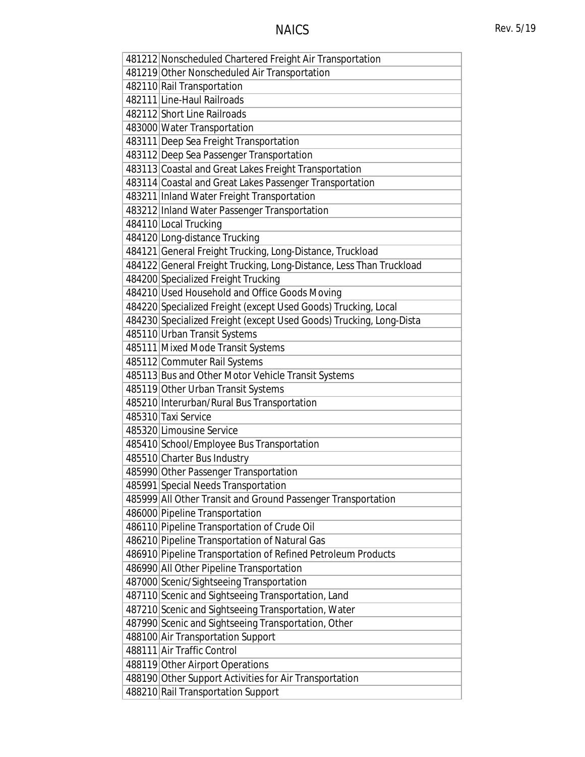| 481212 Nonscheduled Chartered Freight Air Transportation            |
|---------------------------------------------------------------------|
| 481219 Other Nonscheduled Air Transportation                        |
| 482110 Rail Transportation                                          |
| 482111 Line-Haul Railroads                                          |
| 482112 Short Line Railroads                                         |
| 483000 Water Transportation                                         |
| 483111   Deep Sea Freight Transportation                            |
| 483112 Deep Sea Passenger Transportation                            |
| 483113 Coastal and Great Lakes Freight Transportation               |
| 483114 Coastal and Great Lakes Passenger Transportation             |
| 483211 Inland Water Freight Transportation                          |
| 483212 Inland Water Passenger Transportation                        |
| 484110 Local Trucking                                               |
| 484120 Long-distance Trucking                                       |
| 484121 General Freight Trucking, Long-Distance, Truckload           |
| 484122 General Freight Trucking, Long-Distance, Less Than Truckload |
| 484200 Specialized Freight Trucking                                 |
| 484210 Used Household and Office Goods Moving                       |
| 484220 Specialized Freight (except Used Goods) Trucking, Local      |
| 484230 Specialized Freight (except Used Goods) Trucking, Long-Dista |
| 485110 Urban Transit Systems                                        |
| 485111 Mixed Mode Transit Systems                                   |
| 485112 Commuter Rail Systems                                        |
| 485113 Bus and Other Motor Vehicle Transit Systems                  |
| 485119 Other Urban Transit Systems                                  |
| 485210 Interurban/Rural Bus Transportation                          |
| 485310 Taxi Service                                                 |
| 485320 Limousine Service                                            |
| 485410 School/Employee Bus Transportation                           |
| 485510 Charter Bus Industry                                         |
| 485990 Other Passenger Transportation                               |
| 485991 Special Needs Transportation                                 |
| 485999 All Other Transit and Ground Passenger Transportation        |
| 486000 Pipeline Transportation                                      |
| 486110 Pipeline Transportation of Crude Oil                         |
| 486210 Pipeline Transportation of Natural Gas                       |
| 486910 Pipeline Transportation of Refined Petroleum Products        |
| 486990 All Other Pipeline Transportation                            |
| 487000 Scenic/Sightseeing Transportation                            |
| 487110 Scenic and Sightseeing Transportation, Land                  |
| 487210 Scenic and Sightseeing Transportation, Water                 |
| 487990 Scenic and Sightseeing Transportation, Other                 |
| 488100 Air Transportation Support                                   |
| 488111 Air Traffic Control                                          |
| 488119 Other Airport Operations                                     |
| 488190 Other Support Activities for Air Transportation              |
| 488210 Rail Transportation Support                                  |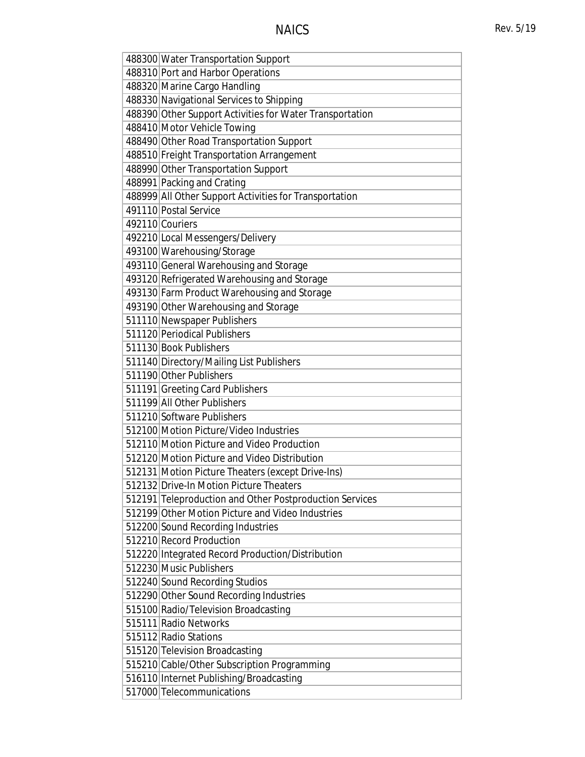| 488300 Water Transportation Support                      |
|----------------------------------------------------------|
| 488310 Port and Harbor Operations                        |
| 488320 Marine Cargo Handling                             |
| 488330 Navigational Services to Shipping                 |
| 488390 Other Support Activities for Water Transportation |
| 488410 Motor Vehicle Towing                              |
| 488490 Other Road Transportation Support                 |
| 488510 Freight Transportation Arrangement                |
| 488990 Other Transportation Support                      |
| 488991 Packing and Crating                               |
| 488999 All Other Support Activities for Transportation   |
| 491110 Postal Service                                    |
| 492110 Couriers                                          |
| 492210 Local Messengers/Delivery                         |
| 493100 Warehousing/Storage                               |
| 493110 General Warehousing and Storage                   |
| 493120 Refrigerated Warehousing and Storage              |
| 493130 Farm Product Warehousing and Storage              |
| 493190 Other Warehousing and Storage                     |
| 511110 Newspaper Publishers                              |
| 511120 Periodical Publishers                             |
| 511130 Book Publishers                                   |
| 511140 Directory/Mailing List Publishers                 |
| 511190 Other Publishers                                  |
| 511191 Greeting Card Publishers                          |
| 511199 All Other Publishers                              |
| 511210 Software Publishers                               |
| 512100 Motion Picture/Video Industries                   |
| 512110 Motion Picture and Video Production               |
| 512120 Motion Picture and Video Distribution             |
| 512131 Motion Picture Theaters (except Drive-Ins)        |
| 512132 Drive-In Motion Picture Theaters                  |
| 512191 Teleproduction and Other Postproduction Services  |
| 512199 Other Motion Picture and Video Industries         |
| 512200 Sound Recording Industries                        |
| 512210 Record Production                                 |
| 512220 Integrated Record Production/Distribution         |
| 512230 Music Publishers                                  |
| 512240 Sound Recording Studios                           |
| 512290 Other Sound Recording Industries                  |
| 515100 Radio/Television Broadcasting                     |
| 515111 Radio Networks                                    |
| 515112 Radio Stations                                    |
| 515120 Television Broadcasting                           |
| 515210 Cable/Other Subscription Programming              |
| 516110 Internet Publishing/Broadcasting                  |
| 517000 Telecommunications                                |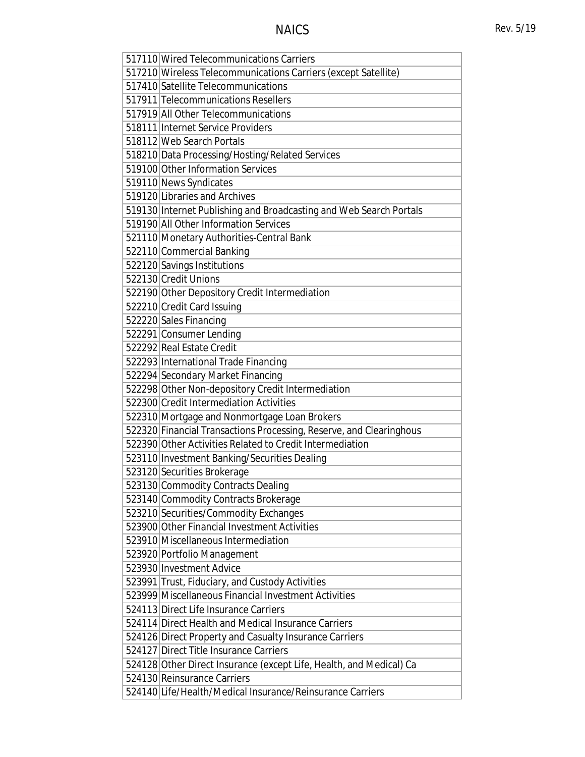| 517110 Wired Telecommunications Carriers                            |
|---------------------------------------------------------------------|
| 517210 Wireless Telecommunications Carriers (except Satellite)      |
| 517410 Satellite Telecommunications                                 |
| 517911 Telecommunications Resellers                                 |
| 517919 All Other Telecommunications                                 |
| 518111 Internet Service Providers                                   |
| 518112 Web Search Portals                                           |
| 518210 Data Processing/Hosting/Related Services                     |
| 519100 Other Information Services                                   |
| 519110 News Syndicates                                              |
| 519120 Libraries and Archives                                       |
| 519130 Internet Publishing and Broadcasting and Web Search Portals  |
| 519190 All Other Information Services                               |
| 521110 Monetary Authorities-Central Bank                            |
| 522110 Commercial Banking                                           |
| 522120 Savings Institutions                                         |
| 522130 Credit Unions                                                |
| 522190 Other Depository Credit Intermediation                       |
| 522210 Credit Card Issuing                                          |
| 522220 Sales Financing                                              |
| 522291 Consumer Lending                                             |
| 522292 Real Estate Credit                                           |
| 522293 International Trade Financing                                |
| 522294 Secondary Market Financing                                   |
| 522298 Other Non-depository Credit Intermediation                   |
| 522300 Credit Intermediation Activities                             |
| 522310 Mortgage and Nonmortgage Loan Brokers                        |
| 522320 Financial Transactions Processing, Reserve, and Clearinghous |
| 522390 Other Activities Related to Credit Intermediation            |
| 523110 Investment Banking/Securities Dealing                        |
| 523120 Securities Brokerage                                         |
| 523130 Commodity Contracts Dealing                                  |
| 523140 Commodity Contracts Brokerage                                |
| 523210 Securities/Commodity Exchanges                               |
| 523900 Other Financial Investment Activities                        |
| 523910 Miscellaneous Intermediation                                 |
| 523920 Portfolio Management                                         |
| 523930 Investment Advice                                            |
| 523991 Trust, Fiduciary, and Custody Activities                     |
| 523999 Miscellaneous Financial Investment Activities                |
| 524113 Direct Life Insurance Carriers                               |
| 524114 Direct Health and Medical Insurance Carriers                 |
| 524126 Direct Property and Casualty Insurance Carriers              |
| 524127 Direct Title Insurance Carriers                              |
| 524128 Other Direct Insurance (except Life, Health, and Medical) Ca |
| 524130 Reinsurance Carriers                                         |
| 524140 Life/Health/Medical Insurance/Reinsurance Carriers           |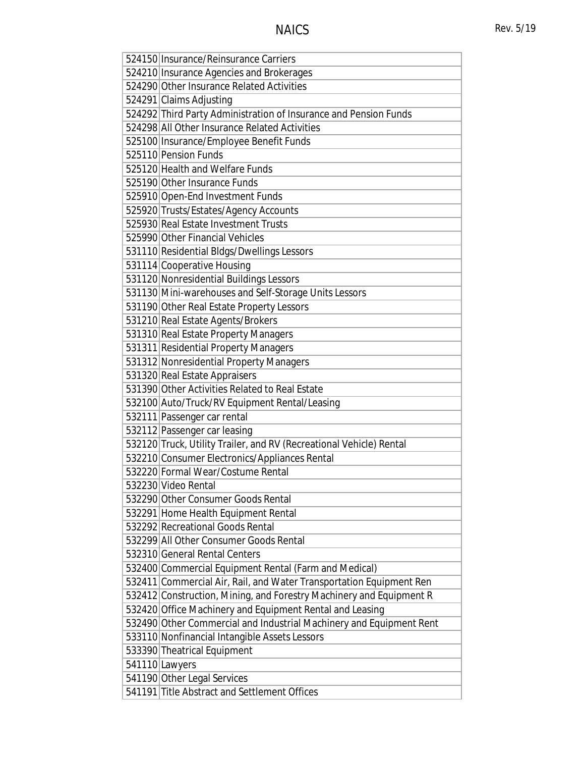| 524150 Insurance/Reinsurance Carriers                               |
|---------------------------------------------------------------------|
| 524210 Insurance Agencies and Brokerages                            |
| 524290 Other Insurance Related Activities                           |
| 524291 Claims Adjusting                                             |
| 524292 Third Party Administration of Insurance and Pension Funds    |
| 524298 All Other Insurance Related Activities                       |
| 525100 Insurance/Employee Benefit Funds                             |
| 525110 Pension Funds                                                |
| 525120 Health and Welfare Funds                                     |
| 525190 Other Insurance Funds                                        |
| 525910 Open-End Investment Funds                                    |
| 525920 Trusts/Estates/Agency Accounts                               |
| 525930 Real Estate Investment Trusts                                |
| 525990 Other Financial Vehicles                                     |
| 531110 Residential Bldgs/Dwellings Lessors                          |
| 531114 Cooperative Housing                                          |
| 531120 Nonresidential Buildings Lessors                             |
| 531130 Mini-warehouses and Self-Storage Units Lessors               |
| 531190 Other Real Estate Property Lessors                           |
| 531210 Real Estate Agents/Brokers                                   |
| 531310 Real Estate Property Managers                                |
| 531311 Residential Property Managers                                |
| 531312 Nonresidential Property Managers                             |
| 531320 Real Estate Appraisers                                       |
| 531390 Other Activities Related to Real Estate                      |
| 532100 Auto/Truck/RV Equipment Rental/Leasing                       |
| 532111 Passenger car rental                                         |
| 532112 Passenger car leasing                                        |
| 532120 Truck, Utility Trailer, and RV (Recreational Vehicle) Rental |
| 532210 Consumer Electronics/Appliances Rental                       |
| 532220 Formal Wear/Costume Rental                                   |
| 532230 Video Rental                                                 |
| 532290 Other Consumer Goods Rental                                  |
| 532291 Home Health Equipment Rental                                 |
| 532292 Recreational Goods Rental                                    |
| 532299 All Other Consumer Goods Rental                              |
| 532310 General Rental Centers                                       |
|                                                                     |
| 532400 Commercial Equipment Rental (Farm and Medical)               |
| 532411 Commercial Air, Rail, and Water Transportation Equipment Ren |
| 532412 Construction, Mining, and Forestry Machinery and Equipment R |
| 532420 Office Machinery and Equipment Rental and Leasing            |
| 532490 Other Commercial and Industrial Machinery and Equipment Rent |
| 533110 Nonfinancial Intangible Assets Lessors                       |
| 533390 Theatrical Equipment                                         |
| 541110 Lawyers                                                      |
| 541190 Other Legal Services                                         |
| 541191 Title Abstract and Settlement Offices                        |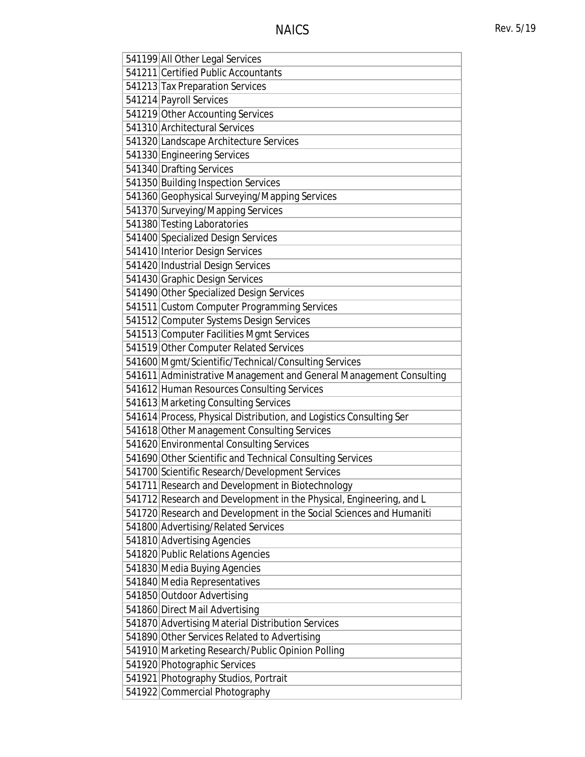| 541199 All Other Legal Services                                       |
|-----------------------------------------------------------------------|
| 541211 Certified Public Accountants                                   |
| 541213 Tax Preparation Services                                       |
| 541214 Payroll Services                                               |
| 541219 Other Accounting Services                                      |
| 541310 Architectural Services                                         |
| 541320 Landscape Architecture Services                                |
| 541330 Engineering Services                                           |
| 541340 Drafting Services                                              |
| 541350 Building Inspection Services                                   |
| 541360 Geophysical Surveying/Mapping Services                         |
| 541370 Surveying/Mapping Services                                     |
| 541380 Testing Laboratories                                           |
| 541400 Specialized Design Services                                    |
| 541410 Interior Design Services                                       |
| 541420 Industrial Design Services                                     |
| 541430 Graphic Design Services                                        |
| 541490 Other Specialized Design Services                              |
| 541511 Custom Computer Programming Services                           |
| 541512 Computer Systems Design Services                               |
| 541513 Computer Facilities Mgmt Services                              |
| 541519 Other Computer Related Services                                |
| 541600 Mgmt/Scientific/Technical/Consulting Services                  |
| 541611 Administrative Management and General Management Consulting    |
| 541612 Human Resources Consulting Services                            |
| 541613 Marketing Consulting Services                                  |
| 541614 Process, Physical Distribution, and Logistics Consulting Ser   |
| 541618 Other Management Consulting Services                           |
| 541620 Environmental Consulting Services                              |
| 541690 Other Scientific and Technical Consulting Services             |
| 541700 Scientific Research/Development Services                       |
| 541711 Research and Development in Biotechnology                      |
| 541712 Research and Development in the Physical, Engineering, and L   |
|                                                                       |
| 541720 Research and Development in the Social Sciences and Humaniti   |
| 541800 Advertising/Related Services                                   |
| 541810 Advertising Agencies                                           |
| 541820 Public Relations Agencies                                      |
| 541830 Media Buying Agencies                                          |
| 541840 Media Representatives                                          |
| 541850 Outdoor Advertising                                            |
| 541860 Direct Mail Advertising                                        |
| 541870 Advertising Material Distribution Services                     |
| 541890 Other Services Related to Advertising                          |
| 541910 Marketing Research/Public Opinion Polling                      |
| 541920 Photographic Services                                          |
| 541921 Photography Studios, Portrait<br>541922 Commercial Photography |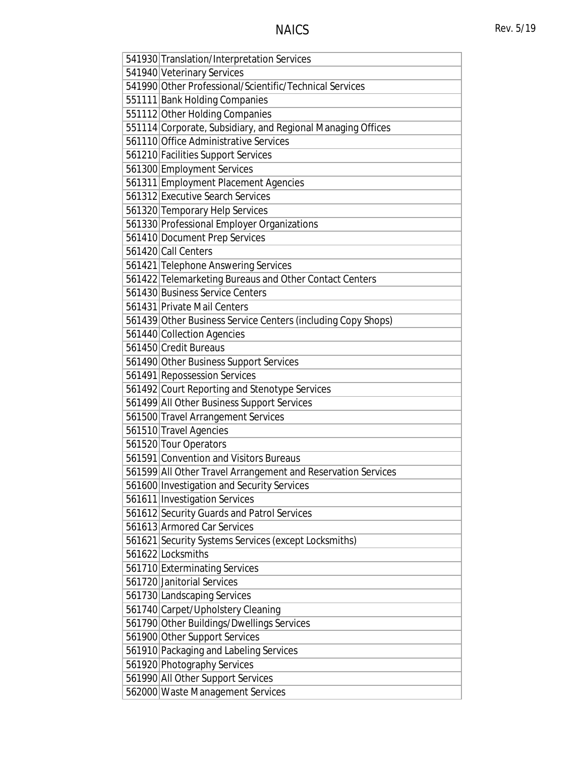| 541930 Translation/Interpretation Services                   |
|--------------------------------------------------------------|
| 541940 Veterinary Services                                   |
| 541990 Other Professional/Scientific/Technical Services      |
| 551111 Bank Holding Companies                                |
| 551112 Other Holding Companies                               |
| 551114 Corporate, Subsidiary, and Regional Managing Offices  |
| 561110 Office Administrative Services                        |
| 561210 Facilities Support Services                           |
| 561300 Employment Services                                   |
| 561311 Employment Placement Agencies                         |
| 561312 Executive Search Services                             |
| 561320 Temporary Help Services                               |
| 561330 Professional Employer Organizations                   |
| 561410 Document Prep Services                                |
| 561420 Call Centers                                          |
| 561421 Telephone Answering Services                          |
| 561422 Telemarketing Bureaus and Other Contact Centers       |
| 561430 Business Service Centers                              |
| 561431 Private Mail Centers                                  |
| 561439 Other Business Service Centers (including Copy Shops) |
| 561440 Collection Agencies                                   |
| 561450 Credit Bureaus                                        |
| 561490 Other Business Support Services                       |
| 561491 Repossession Services                                 |
| 561492 Court Reporting and Stenotype Services                |
| 561499 All Other Business Support Services                   |
| 561500 Travel Arrangement Services                           |
| 561510 Travel Agencies                                       |
| 561520 Tour Operators                                        |
| 561591 Convention and Visitors Bureaus                       |
| 561599 All Other Travel Arrangement and Reservation Services |
| 561600 Investigation and Security Services                   |
| 561611 Investigation Services                                |
| 561612 Security Guards and Patrol Services                   |
| 561613 Armored Car Services                                  |
| 561621 Security Systems Services (except Locksmiths)         |
| 561622 Locksmiths                                            |
| 561710 Exterminating Services                                |
| 561720 Janitorial Services                                   |
| 561730 Landscaping Services                                  |
| 561740 Carpet/Upholstery Cleaning                            |
| 561790 Other Buildings/Dwellings Services                    |
| 561900 Other Support Services                                |
| 561910 Packaging and Labeling Services                       |
| 561920 Photography Services                                  |
| 561990 All Other Support Services                            |
| 562000 Waste Management Services                             |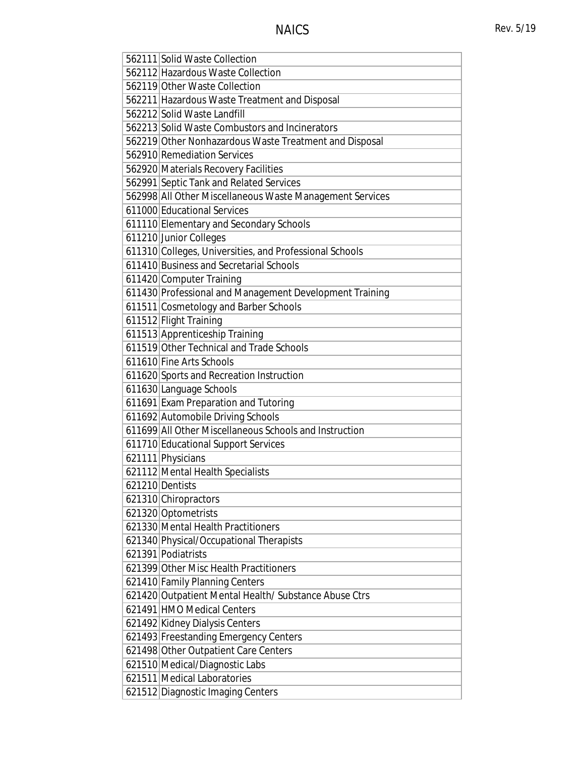| 562111 Solid Waste Collection                            |
|----------------------------------------------------------|
| 562112 Hazardous Waste Collection                        |
| 562119 Other Waste Collection                            |
| 562211 Hazardous Waste Treatment and Disposal            |
| 562212 Solid Waste Landfill                              |
| 562213 Solid Waste Combustors and Incinerators           |
| 562219 Other Nonhazardous Waste Treatment and Disposal   |
| 562910 Remediation Services                              |
| 562920 Materials Recovery Facilities                     |
| 562991 Septic Tank and Related Services                  |
| 562998 All Other Miscellaneous Waste Management Services |
| 611000 Educational Services                              |
| 611110 Elementary and Secondary Schools                  |
| 611210 Junior Colleges                                   |
| 611310 Colleges, Universities, and Professional Schools  |
| 611410 Business and Secretarial Schools                  |
| 611420 Computer Training                                 |
| 611430 Professional and Management Development Training  |
| 611511 Cosmetology and Barber Schools                    |
| 611512 Flight Training                                   |
| 611513 Apprenticeship Training                           |
| 611519 Other Technical and Trade Schools                 |
| 611610 Fine Arts Schools                                 |
| 611620 Sports and Recreation Instruction                 |
| 611630 Language Schools                                  |
| 611691 Exam Preparation and Tutoring                     |
| 611692 Automobile Driving Schools                        |
| 611699 All Other Miscellaneous Schools and Instruction   |
| 611710 Educational Support Services                      |
| 621111 Physicians                                        |
| 621112 Mental Health Specialists                         |
| 621210 Dentists                                          |
| 621310 Chiropractors                                     |
| 621320 Optometrists                                      |
| 621330 Mental Health Practitioners                       |
| 621340 Physical/Occupational Therapists                  |
| 621391 Podiatrists                                       |
| 621399 Other Misc Health Practitioners                   |
| 621410 Family Planning Centers                           |
| 621420 Outpatient Mental Health/Substance Abuse Ctrs     |
| 621491 HMO Medical Centers                               |
| 621492 Kidney Dialysis Centers                           |
| 621493 Freestanding Emergency Centers                    |
| 621498 Other Outpatient Care Centers                     |
| 621510 Medical/Diagnostic Labs                           |
| 621511 Medical Laboratories                              |
| 621512 Diagnostic Imaging Centers                        |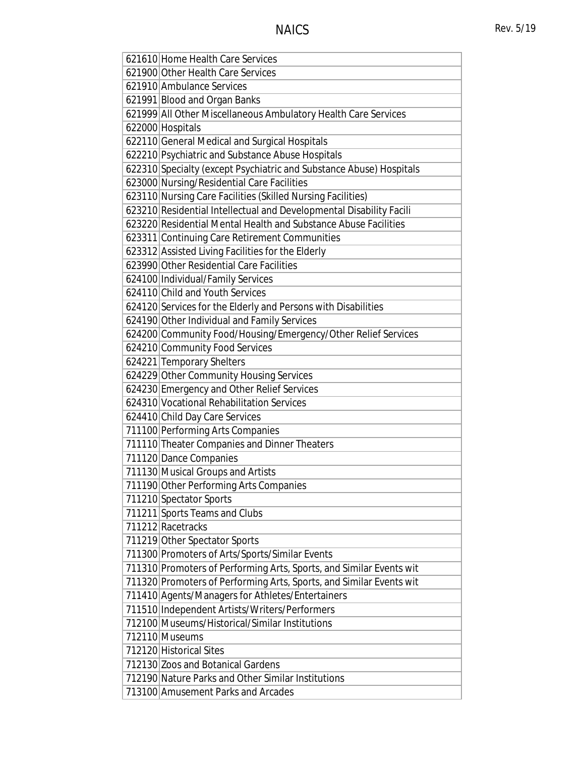| 621610 Home Health Care Services                                    |
|---------------------------------------------------------------------|
| 621900 Other Health Care Services                                   |
| 621910 Ambulance Services                                           |
| 621991 Blood and Organ Banks                                        |
| 621999 All Other Miscellaneous Ambulatory Health Care Services      |
| 622000 Hospitals                                                    |
| 622110 General Medical and Surgical Hospitals                       |
| 622210 Psychiatric and Substance Abuse Hospitals                    |
| 622310 Specialty (except Psychiatric and Substance Abuse) Hospitals |
| 623000 Nursing/Residential Care Facilities                          |
| 623110 Nursing Care Facilities (Skilled Nursing Facilities)         |
| 623210 Residential Intellectual and Developmental Disability Facili |
| 623220 Residential Mental Health and Substance Abuse Facilities     |
| 623311 Continuing Care Retirement Communities                       |
| 623312 Assisted Living Facilities for the Elderly                   |
| 623990 Other Residential Care Facilities                            |
| 624100 Individual/Family Services                                   |
| 624110 Child and Youth Services                                     |
| 624120 Services for the Elderly and Persons with Disabilities       |
| 624190 Other Individual and Family Services                         |
| 624200 Community Food/Housing/Emergency/Other Relief Services       |
| 624210 Community Food Services                                      |
| 624221 Temporary Shelters                                           |
| 624229 Other Community Housing Services                             |
| 624230 Emergency and Other Relief Services                          |
| 624310 Vocational Rehabilitation Services                           |
| 624410 Child Day Care Services                                      |
| 711100 Performing Arts Companies                                    |
| 711110 Theater Companies and Dinner Theaters                        |
| 711120 Dance Companies                                              |
| 711130 Musical Groups and Artists                                   |
| 711190 Other Performing Arts Companies                              |
| 711210 Spectator Sports                                             |
| 711211 Sports Teams and Clubs                                       |
| 711212 Racetracks                                                   |
| 711219 Other Spectator Sports                                       |
| 711300 Promoters of Arts/Sports/Similar Events                      |
| 711310 Promoters of Performing Arts, Sports, and Similar Events wit |
| 711320 Promoters of Performing Arts, Sports, and Similar Events wit |
| 711410 Agents/Managers for Athletes/Entertainers                    |
| 711510 Independent Artists/Writers/Performers                       |
| 712100 Museums/Historical/Similar Institutions                      |
| 712110 Museums                                                      |
| 712120 Historical Sites                                             |
| 712130 Zoos and Botanical Gardens                                   |
| 712190 Nature Parks and Other Similar Institutions                  |
| 713100 Amusement Parks and Arcades                                  |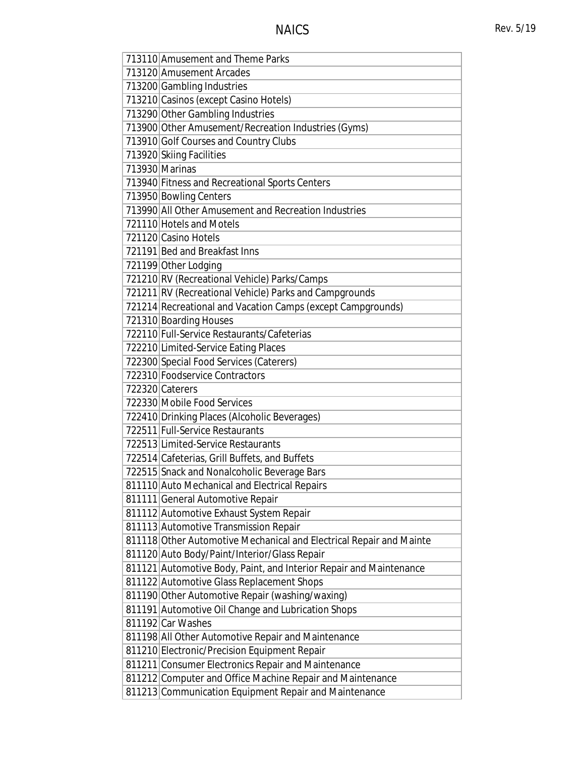| 713110 Amusement and Theme Parks                                    |
|---------------------------------------------------------------------|
| 713120 Amusement Arcades                                            |
|                                                                     |
| 713200 Gambling Industries                                          |
| 713210 Casinos (except Casino Hotels)                               |
| 713290 Other Gambling Industries                                    |
| 713900 Other Amusement/Recreation Industries (Gyms)                 |
| 713910 Golf Courses and Country Clubs                               |
| 713920 Skiing Facilities                                            |
| 713930 Marinas                                                      |
| 713940 Fitness and Recreational Sports Centers                      |
| 713950 Bowling Centers                                              |
| 713990 All Other Amusement and Recreation Industries                |
| 721110 Hotels and Motels                                            |
| 721120 Casino Hotels                                                |
| 721191 Bed and Breakfast Inns                                       |
| 721199 Other Lodging                                                |
| 721210 RV (Recreational Vehicle) Parks/Camps                        |
| 721211 RV (Recreational Vehicle) Parks and Campgrounds              |
| 721214 Recreational and Vacation Camps (except Campgrounds)         |
| 721310 Boarding Houses                                              |
| 722110 Full-Service Restaurants/Cafeterias                          |
| 722210 Limited-Service Eating Places                                |
| 722300 Special Food Services (Caterers)                             |
| 722310 Foodservice Contractors                                      |
| 722320 Caterers                                                     |
| 722330 Mobile Food Services                                         |
| 722410 Drinking Places (Alcoholic Beverages)                        |
| 722511 Full-Service Restaurants                                     |
| 722513 Limited-Service Restaurants                                  |
| 722514 Cafeterias, Grill Buffets, and Buffets                       |
| 722515 Snack and Nonalcoholic Beverage Bars                         |
| 811110 Auto Mechanical and Electrical Repairs                       |
| 811111 General Automotive Repair                                    |
| 811112 Automotive Exhaust System Repair                             |
| 811113 Automotive Transmission Repair                               |
| 811118 Other Automotive Mechanical and Electrical Repair and Mainte |
|                                                                     |
| 811120 Auto Body/Paint/Interior/Glass Repair                        |
| 811121 Automotive Body, Paint, and Interior Repair and Maintenance  |
| 811122 Automotive Glass Replacement Shops                           |
| 811190 Other Automotive Repair (washing/waxing)                     |
| 811191 Automotive Oil Change and Lubrication Shops                  |
| 811192 Car Washes                                                   |
| 811198 All Other Automotive Repair and Maintenance                  |
| 811210 Electronic/Precision Equipment Repair                        |
| 811211 Consumer Electronics Repair and Maintenance                  |
| 811212 Computer and Office Machine Repair and Maintenance           |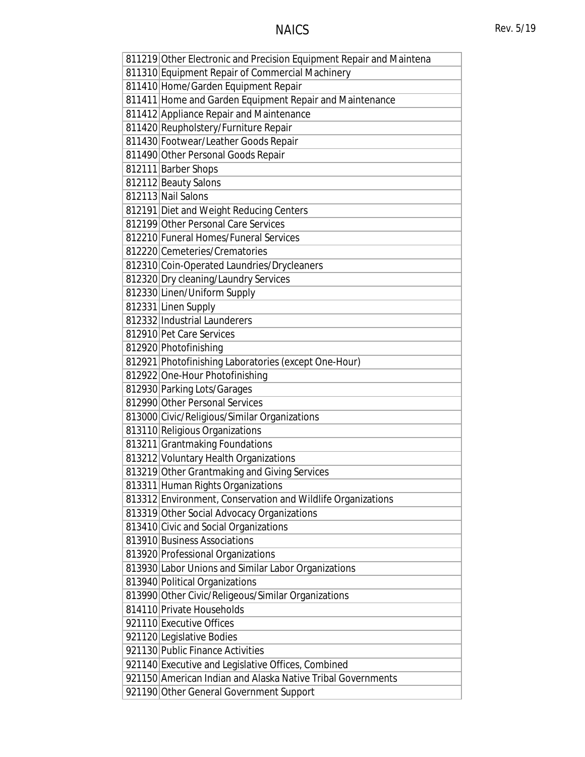# NAICS Rev. 5/19

| 811219 Other Electronic and Precision Equipment Repair and Maintena |
|---------------------------------------------------------------------|
| 811310 Equipment Repair of Commercial Machinery                     |
| 811410 Home/Garden Equipment Repair                                 |
| 811411 Home and Garden Equipment Repair and Maintenance             |
| 811412 Appliance Repair and Maintenance                             |
| 811420 Reupholstery/Furniture Repair                                |
| 811430 Footwear/Leather Goods Repair                                |
| 811490 Other Personal Goods Repair                                  |
| 812111 Barber Shops                                                 |
| 812112 Beauty Salons                                                |
| 812113 Nail Salons                                                  |
| 812191 Diet and Weight Reducing Centers                             |
| 812199 Other Personal Care Services                                 |
| 812210 Funeral Homes/Funeral Services                               |
| 812220 Cemeteries/Crematories                                       |
| 812310 Coin-Operated Laundries/Drycleaners                          |
| 812320 Dry cleaning/Laundry Services                                |
| 812330 Linen/Uniform Supply                                         |
| 812331 Linen Supply                                                 |
| 812332 Industrial Launderers                                        |
| 812910 Pet Care Services                                            |
| 812920 Photofinishing                                               |
| 812921 Photofinishing Laboratories (except One-Hour)                |
| 812922 One-Hour Photofinishing                                      |
| 812930 Parking Lots/Garages                                         |
| 812990 Other Personal Services                                      |
| 813000 Civic/Religious/Similar Organizations                        |
| 813110 Religious Organizations                                      |
| 813211 Grantmaking Foundations                                      |
| 813212 Voluntary Health Organizations                               |
| 813219 Other Grantmaking and Giving Services                        |
| 813311 Human Rights Organizations                                   |
| 813312 Environment, Conservation and Wildlife Organizations         |
| 813319 Other Social Advocacy Organizations                          |
| 813410 Civic and Social Organizations                               |
| 813910 Business Associations                                        |
| 813920 Professional Organizations                                   |
| 813930 Labor Unions and Similar Labor Organizations                 |
| 813940 Political Organizations                                      |
| 813990 Other Civic/Religeous/Similar Organizations                  |
| 814110 Private Households                                           |
| 921110 Executive Offices                                            |
| 921120 Legislative Bodies                                           |
| 921130 Public Finance Activities                                    |
| 921140 Executive and Legislative Offices, Combined                  |
| 921150 American Indian and Alaska Native Tribal Governments         |
| 921190 Other General Government Support                             |